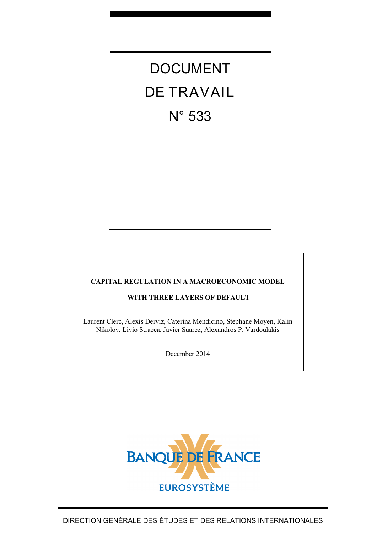# DOCUMENT DE TRAVAIL N° 533

#### **CAPITAL REGULATION IN A MACROECONOMIC MODEL**

#### **WITH THREE LAYERS OF DEFAULT**

Laurent Clerc, Alexis Derviz, Caterina Mendicino, Stephane Moyen, Kalin Nikolov, Livio Stracca, Javier Suarez, Alexandros P. Vardoulakis

December 2014

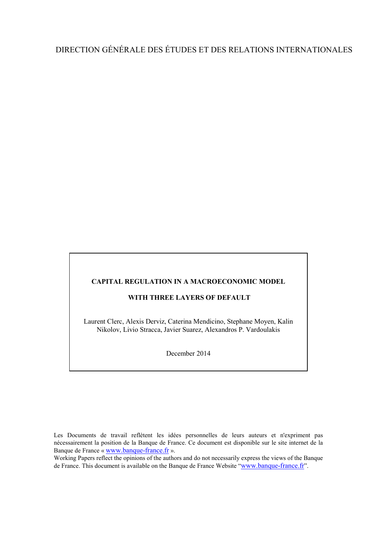## DIRECTION GÉNÉRALE DES ÉTUDES ET DES RELATIONS INTERNATIONALES

#### **CAPITAL REGULATION IN A MACROECONOMIC MODEL**

#### **WITH THREE LAYERS OF DEFAULT**

Laurent Clerc, Alexis Derviz, Caterina Mendicino, Stephane Moyen, Kalin Nikolov, Livio Stracca, Javier Suarez, Alexandros P. Vardoulakis

December 2014

Les Documents de travail reflètent les idées personnelles de leurs auteurs et n'expriment pas nécessairement la position de la Banque de France. Ce document est disponible sur le site internet de la Banque de France « [www.banque-france.fr](http://www.banque-france.fr/) ».

Working Papers reflect the opinions of the authors and do not necessarily express the views of the Banque de France. This document is available on the Banque de France Website ["www.banque-france.fr"](http://www.banque-france.fr/).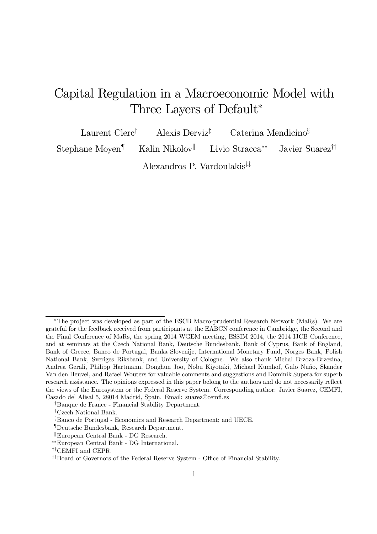## Capital Regulation in a Macroeconomic Model with Three Layers of Default<sup>∗</sup>

Laurent Clerc<sup>†</sup> Alexis Derviz<sup>‡</sup> Caterina Mendicino<sup>§</sup> Stephane Moyen¶ Kalin Nikolov<sup>||</sup> Livio Stracca<sup>∗∗</sup> Javier Suarez<sup>††</sup>

Alexandros P. Vardoulakis‡‡

<sup>∗</sup>The project was developed as part of the ESCB Macro-prudential Research Network (MaRs). We are grateful for the feedback received from participants at the EABCN conference in Cambridge, the Second and the Final Conference of MaRs, the spring 2014 WGEM meeting, ESSIM 2014, the 2014 IJCB Conference, and at seminars at the Czech National Bank, Deutsche Bundesbank, Bank of Cyprus, Bank of England, Bank of Greece, Banco de Portugal, Banka Slovenije, International Monetary Fund, Norges Bank, Polish National Bank, Sveriges Riksbank, and University of Cologne. We also thank Michal Brzoza-Brzezina, Andrea Gerali, Philipp Hartmann, Donghun Joo, Nobu Kiyotaki, Michael Kumhof, Galo Nuño, Skander Van den Heuvel, and Rafael Wouters for valuable comments and suggestions and Dominik Supera for superb research assistance. The opinions expressed in this paper belong to the authors and do not necessarily reflect the views of the Eurosystem or the Federal Reserve System. Corresponding author: Javier Suarez, CEMFI, Casado del Alisal 5, 28014 Madrid, Spain. Email: suarez@cemfi.es

<sup>†</sup>Banque de France - Financial Stability Department.

<sup>‡</sup>Czech National Bank.

<sup>§</sup>Banco de Portugal - Economics and Research Department; and UECE.

<sup>¶</sup>Deutsche Bundesbank, Research Department.

 $\mathbb{E}$ European Central Bank - DG Research.

<sup>∗∗</sup>European Central Bank - DG International.

<sup>††</sup>CEMFI and CEPR.

<sup>‡‡</sup>Board of Governors of the Federal Reserve System - Office of Financial Stability.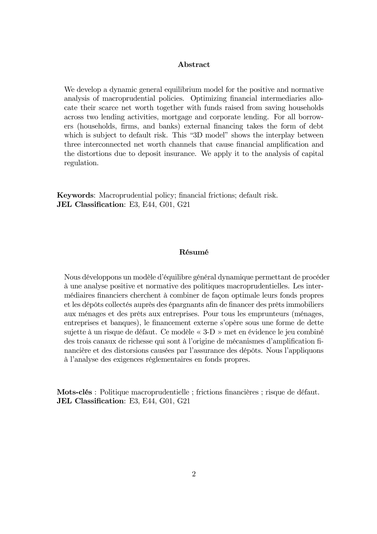#### Abstract

We develop a dynamic general equilibrium model for the positive and normative analysis of macroprudential policies. Optimizing financial intermediaries allocate their scarce net worth together with funds raised from saving households across two lending activities, mortgage and corporate lending. For all borrowers (households, firms, and banks) external financing takes the form of debt which is subject to default risk. This "3D model" shows the interplay between three interconnected net worth channels that cause financial amplification and the distortions due to deposit insurance. We apply it to the analysis of capital regulation.

Keywords: Macroprudential policy; financial frictions; default risk. JEL Classification: E3, E44, G01, G21

#### Résumé

Nous développons un modèle d'équilibre général dynamique permettant de procéder à une analyse positive et normative des politiques macroprudentielles. Les intermédiaires financiers cherchent à combiner de façon optimale leurs fonds propres et les dépôts collectés auprès des épargnants afin de financer des prêts immobiliers aux ménages et des prêts aux entreprises. Pour tous les emprunteurs (ménages, entreprises et banques), le financement externe s'opère sous une forme de dette sujette à un risque de défaut. Ce modèle « 3-D » met en évidence le jeu combiné des trois canaux de richesse qui sont à l'origine de mécanismes d'amplification financière et des distorsions causées par l'assurance des dépôts. Nous l'appliquons à l'analyse des exigences réglementaires en fonds propres.

Mots-clés : Politique macroprudentielle ; frictions financières ; risque de défaut. JEL Classification: E3, E44, G01, G21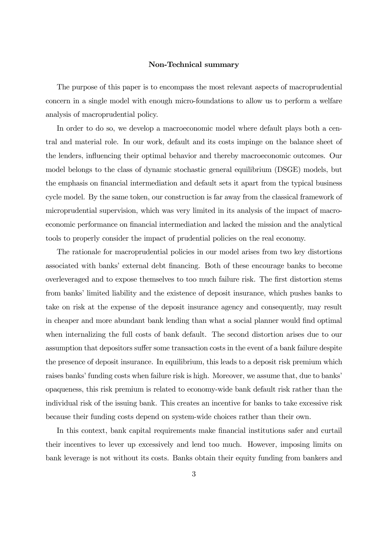#### Non-Technical summary

The purpose of this paper is to encompass the most relevant aspects of macroprudential concern in a single model with enough micro-foundations to allow us to perform a welfare analysis of macroprudential policy.

In order to do so, we develop a macroeconomic model where default plays both a central and material role. In our work, default and its costs impinge on the balance sheet of the lenders, influencing their optimal behavior and thereby macroeconomic outcomes. Our model belongs to the class of dynamic stochastic general equilibrium (DSGE) models, but the emphasis on financial intermediation and default sets it apart from the typical business cycle model. By the same token, our construction is far away from the classical framework of microprudential supervision, which was very limited in its analysis of the impact of macroeconomic performance on financial intermediation and lacked the mission and the analytical tools to properly consider the impact of prudential policies on the real economy.

The rationale for macroprudential policies in our model arises from two key distortions associated with banks' external debt financing. Both of these encourage banks to become overleveraged and to expose themselves to too much failure risk. The first distortion stems from banks' limited liability and the existence of deposit insurance, which pushes banks to take on risk at the expense of the deposit insurance agency and consequently, may result in cheaper and more abundant bank lending than what a social planner would find optimal when internalizing the full costs of bank default. The second distortion arises due to our assumption that depositors suffer some transaction costs in the event of a bank failure despite the presence of deposit insurance. In equilibrium, this leads to a deposit risk premium which raises banks' funding costs when failure risk is high. Moreover, we assume that, due to banks' opaqueness, this risk premium is related to economy-wide bank default risk rather than the individual risk of the issuing bank. This creates an incentive for banks to take excessive risk because their funding costs depend on system-wide choices rather than their own.

In this context, bank capital requirements make financial institutions safer and curtail their incentives to lever up excessively and lend too much. However, imposing limits on bank leverage is not without its costs. Banks obtain their equity funding from bankers and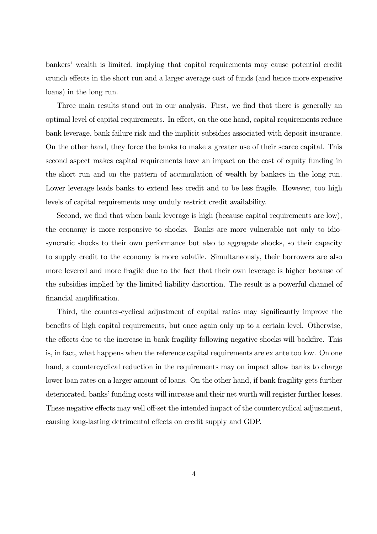bankers' wealth is limited, implying that capital requirements may cause potential credit crunch effects in the short run and a larger average cost of funds (and hence more expensive loans) in the long run.

Three main results stand out in our analysis. First, we find that there is generally an optimal level of capital requirements. In effect, on the one hand, capital requirements reduce bank leverage, bank failure risk and the implicit subsidies associated with deposit insurance. On the other hand, they force the banks to make a greater use of their scarce capital. This second aspect makes capital requirements have an impact on the cost of equity funding in the short run and on the pattern of accumulation of wealth by bankers in the long run. Lower leverage leads banks to extend less credit and to be less fragile. However, too high levels of capital requirements may unduly restrict credit availability.

Second, we find that when bank leverage is high (because capital requirements are low), the economy is more responsive to shocks. Banks are more vulnerable not only to idiosyncratic shocks to their own performance but also to aggregate shocks, so their capacity to supply credit to the economy is more volatile. Simultaneously, their borrowers are also more levered and more fragile due to the fact that their own leverage is higher because of the subsidies implied by the limited liability distortion. The result is a powerful channel of financial amplification.

Third, the counter-cyclical adjustment of capital ratios may significantly improve the benefits of high capital requirements, but once again only up to a certain level. Otherwise, the effects due to the increase in bank fragility following negative shocks will backfire. This is, in fact, what happens when the reference capital requirements are ex ante too low. On one hand, a countercyclical reduction in the requirements may on impact allow banks to charge lower loan rates on a larger amount of loans. On the other hand, if bank fragility gets further deteriorated, banks' funding costs will increase and their net worth will register further losses. These negative effects may well off-set the intended impact of the countercyclical adjustment, causing long-lasting detrimental effects on credit supply and GDP.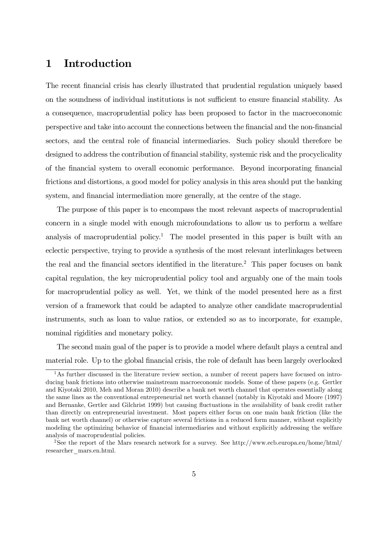## 1 Introduction

The recent financial crisis has clearly illustrated that prudential regulation uniquely based on the soundness of individual institutions is not sufficient to ensure financial stability. As a consequence, macroprudential policy has been proposed to factor in the macroeconomic perspective and take into account the connections between the financial and the non-financial sectors, and the central role of financial intermediaries. Such policy should therefore be designed to address the contribution of financial stability, systemic risk and the procyclicality of the financial system to overall economic performance. Beyond incorporating financial frictions and distortions, a good model for policy analysis in this area should put the banking system, and financial intermediation more generally, at the centre of the stage.

The purpose of this paper is to encompass the most relevant aspects of macroprudential concern in a single model with enough microfoundations to allow us to perform a welfare analysis of macroprudential policy.<sup>1</sup> The model presented in this paper is built with an eclectic perspective, trying to provide a synthesis of the most relevant interlinkages between the real and the financial sectors identified in the literature.<sup>2</sup> This paper focuses on bank capital regulation, the key microprudential policy tool and arguably one of the main tools for macroprudential policy as well. Yet, we think of the model presented here as a first version of a framework that could be adapted to analyze other candidate macroprudential instruments, such as loan to value ratios, or extended so as to incorporate, for example, nominal rigidities and monetary policy.

The second main goal of the paper is to provide a model where default plays a central and material role. Up to the global financial crisis, the role of default has been largely overlooked

<sup>&</sup>lt;sup>1</sup>As further discussed in the literature review section, a number of recent papers have focused on introducing bank frictions into otherwise mainstream macroeconomic models. Some of these papers (e.g. Gertler and Kiyotaki 2010, Meh and Moran 2010) describe a bank net worth channel that operates essentially along the same lines as the conventional entrepreneurial net worth channel (notably in Kiyotaki and Moore (1997) and Bernanke, Gertler and Gilchrist 1999) but causing fluctuations in the availability of bank credit rather than directly on entrepreneurial investment. Most papers either focus on one main bank friction (like the bank net worth channel) or otherwise capture several frictions in a reduced form manner, without explicitly modeling the optimizing behavior of financial intermediaries and without explicitly addressing the welfare analysis of macroprudential policies.

<sup>2</sup>See the report of the Mars research network for a survey. See http://www.ecb.europa.eu/home/html/ researcher\_mars.en.html.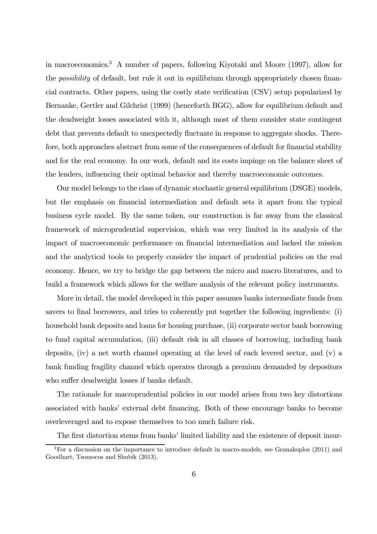in macroeconomics.3 A number of papers, following Kiyotaki and Moore (1997), allow for the possibility of default, but rule it out in equilibrium through appropriately chosen financial contracts. Other papers, using the costly state verification (CSV) setup popularized by Bernanke, Gertler and Gilchrist (1999) (henceforth BGG), allow for equilibrium default and the deadweight losses associated with it, although most of them consider state contingent debt that prevents default to unexpectedly fluctuate in response to aggregate shocks. Therefore, both approaches abstract from some of the consequences of default for financial stability and for the real economy. In our work, default and its costs impinge on the balance sheet of the lenders, influencing their optimal behavior and thereby macroeconomic outcomes.

Our model belongs to the class of dynamic stochastic general equilibrium (DSGE) models, but the emphasis on financial intermediation and default sets it apart from the typical business cycle model. By the same token, our construction is far away from the classical framework of microprudential supervision, which was very limited in its analysis of the impact of macroeconomic performance on financial intermediation and lacked the mission and the analytical tools to properly consider the impact of prudential policies on the real economy. Hence, we try to bridge the gap between the micro and macro literatures, and to build a framework which allows for the welfare analysis of the relevant policy instruments.

More in detail, the model developed in this paper assumes banks intermediate funds from savers to final borrowers, and tries to coherently put together the following ingredients: (i) household bank deposits and loans for housing purchase, (ii) corporate sector bank borrowing to fund capital accumulation, (iii) default risk in all classes of borrowing, including bank deposits, (iv) a net worth channel operating at the level of each levered sector, and (v) a bank funding fragility channel which operates through a premium demanded by depositors who suffer deadweight losses if banks default.

The rationale for macroprudential policies in our model arises from two key distortions associated with banks' external debt financing. Both of these encourage banks to become overleveraged and to expose themselves to too much failure risk.

The first distortion stems from banks' limited liability and the existence of deposit insur-

<sup>&</sup>lt;sup>3</sup>For a discussion on the importance to introduce default in macro-models, see Geanakoplos (2011) and Goodhart, Tsomocos and Shubik (2013).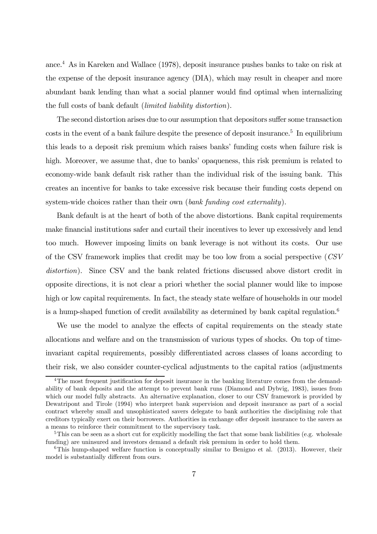ance.4 As in Kareken and Wallace (1978), deposit insurance pushes banks to take on risk at the expense of the deposit insurance agency (DIA), which may result in cheaper and more abundant bank lending than what a social planner would find optimal when internalizing the full costs of bank default (limited liability distortion).

The second distortion arises due to our assumption that depositors suffer some transaction  $\cos$ ts in the event of a bank failure despite the presence of deposit insurance.<sup>5</sup> In equilibrium this leads to a deposit risk premium which raises banks' funding costs when failure risk is high. Moreover, we assume that, due to banks' opaqueness, this risk premium is related to economy-wide bank default risk rather than the individual risk of the issuing bank. This creates an incentive for banks to take excessive risk because their funding costs depend on system-wide choices rather than their own (bank funding cost externality).

Bank default is at the heart of both of the above distortions. Bank capital requirements make financial institutions safer and curtail their incentives to lever up excessively and lend too much. However imposing limits on bank leverage is not without its costs. Our use of the CSV framework implies that credit may be too low from a social perspective (CSV distortion). Since CSV and the bank related frictions discussed above distort credit in opposite directions, it is not clear a priori whether the social planner would like to impose high or low capital requirements. In fact, the steady state welfare of households in our model is a hump-shaped function of credit availability as determined by bank capital regulation.<sup>6</sup>

We use the model to analyze the effects of capital requirements on the steady state allocations and welfare and on the transmission of various types of shocks. On top of timeinvariant capital requirements, possibly differentiated across classes of loans according to their risk, we also consider counter-cyclical adjustments to the capital ratios (adjustments

<sup>&</sup>lt;sup>4</sup>The most frequent justification for deposit insurance in the banking literature comes from the demandability of bank deposits and the attempt to prevent bank runs (Diamond and Dybvig, 1983), issues from which our model fully abstracts. An alternative explanation, closer to our CSV framework is provided by Dewatripont and Tirole (1994) who interpret bank supervision and deposit insurance as part of a social contract whereby small and unsophisticated savers delegate to bank authorities the disciplining role that creditors typically exert on their borrowers. Authorities in exchange offer deposit insurance to the savers as a means to reinforce their commitment to the supervisory task.

 $5$ This can be seen as a short cut for explicitly modelling the fact that some bank liabilities (e.g. wholesale funding) are uninsured and investors demand a default risk premium in order to hold them.

 $6$ This hump-shaped welfare function is conceptually similar to Benigno et al. (2013). However, their model is substantially different from ours.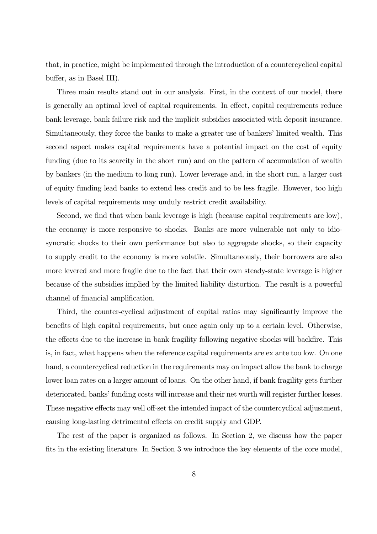that, in practice, might be implemented through the introduction of a countercyclical capital buffer, as in Basel III).

Three main results stand out in our analysis. First, in the context of our model, there is generally an optimal level of capital requirements. In effect, capital requirements reduce bank leverage, bank failure risk and the implicit subsidies associated with deposit insurance. Simultaneously, they force the banks to make a greater use of bankers' limited wealth. This second aspect makes capital requirements have a potential impact on the cost of equity funding (due to its scarcity in the short run) and on the pattern of accumulation of wealth by bankers (in the medium to long run). Lower leverage and, in the short run, a larger cost of equity funding lead banks to extend less credit and to be less fragile. However, too high levels of capital requirements may unduly restrict credit availability.

Second, we find that when bank leverage is high (because capital requirements are low), the economy is more responsive to shocks. Banks are more vulnerable not only to idiosyncratic shocks to their own performance but also to aggregate shocks, so their capacity to supply credit to the economy is more volatile. Simultaneously, their borrowers are also more levered and more fragile due to the fact that their own steady-state leverage is higher because of the subsidies implied by the limited liability distortion. The result is a powerful channel of financial amplification.

Third, the counter-cyclical adjustment of capital ratios may significantly improve the benefits of high capital requirements, but once again only up to a certain level. Otherwise, the effects due to the increase in bank fragility following negative shocks will backfire. This is, in fact, what happens when the reference capital requirements are ex ante too low. On one hand, a countercyclical reduction in the requirements may on impact allow the bank to charge lower loan rates on a larger amount of loans. On the other hand, if bank fragility gets further deteriorated, banks' funding costs will increase and their net worth will register further losses. These negative effects may well off-set the intended impact of the countercyclical adjustment, causing long-lasting detrimental effects on credit supply and GDP.

The rest of the paper is organized as follows. In Section 2, we discuss how the paper fits in the existing literature. In Section 3 we introduce the key elements of the core model,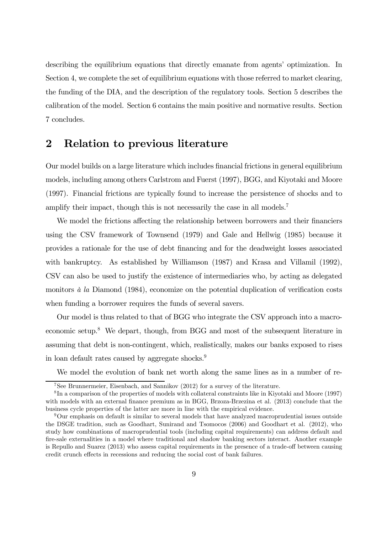describing the equilibrium equations that directly emanate from agents' optimization. In Section 4, we complete the set of equilibrium equations with those referred to market clearing, the funding of the DIA, and the description of the regulatory tools. Section 5 describes the calibration of the model. Section 6 contains the main positive and normative results. Section 7 concludes.

## 2 Relation to previous literature

Our model builds on a large literature which includes financial frictions in general equilibrium models, including among others Carlstrom and Fuerst (1997), BGG, and Kiyotaki and Moore (1997). Financial frictions are typically found to increase the persistence of shocks and to amplify their impact, though this is not necessarily the case in all models.<sup>7</sup>

We model the frictions affecting the relationship between borrowers and their financiers using the CSV framework of Townsend (1979) and Gale and Hellwig (1985) because it provides a rationale for the use of debt financing and for the deadweight losses associated with bankruptcy. As established by Williamson (1987) and Krasa and Villamil (1992), CSV can also be used to justify the existence of intermediaries who, by acting as delegated monitors  $\dot{a}$  la Diamond (1984), economize on the potential duplication of verification costs when funding a borrower requires the funds of several savers.

Our model is thus related to that of BGG who integrate the CSV approach into a macroeconomic setup.8 We depart, though, from BGG and most of the subsequent literature in assuming that debt is non-contingent, which, realistically, makes our banks exposed to rises in loan default rates caused by aggregate shocks.<sup>9</sup>

We model the evolution of bank net worth along the same lines as in a number of re-

<sup>7</sup>See Brunnermeier, Eisenbach, and Sannikov (2012) for a survey of the literature.

<sup>8</sup> In a comparison of the properties of models with collateral constraints like in Kiyotaki and Moore (1997) with models with an external finance premium as in BGG, Brzoza-Brzezina et al. (2013) conclude that the business cycle properties of the latter are more in line with the empirical evidence.

 $9$ Our emphasis on default is similar to several models that have analyzed macroprudential issues outside the DSGE tradition, such as Goodhart, Sunirand and Tsomocos (2006) and Goodhart et al. (2012), who study how combinations of macroprudential tools (including capital requirements) can address default and fire-sale externalities in a model where traditional and shadow banking sectors interact. Another example is Repullo and Suarez (2013) who assess capital requirements in the presence of a trade-off between causing credit crunch effects in recessions and reducing the social cost of bank failures.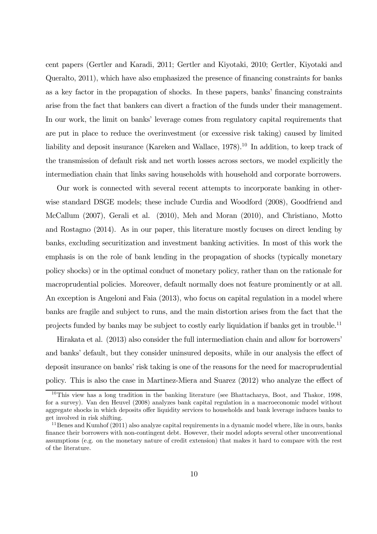cent papers (Gertler and Karadi, 2011; Gertler and Kiyotaki, 2010; Gertler, Kiyotaki and Queralto, 2011), which have also emphasized the presence of financing constraints for banks as a key factor in the propagation of shocks. In these papers, banks' financing constraints arise from the fact that bankers can divert a fraction of the funds under their management. In our work, the limit on banks' leverage comes from regulatory capital requirements that are put in place to reduce the overinvestment (or excessive risk taking) caused by limited liability and deposit insurance (Kareken and Wallace, 1978).<sup>10</sup> In addition, to keep track of the transmission of default risk and net worth losses across sectors, we model explicitly the intermediation chain that links saving households with household and corporate borrowers.

Our work is connected with several recent attempts to incorporate banking in otherwise standard DSGE models; these include Curdia and Woodford (2008), Goodfriend and McCallum (2007), Gerali et al. (2010), Meh and Moran (2010), and Christiano, Motto and Rostagno (2014). As in our paper, this literature mostly focuses on direct lending by banks, excluding securitization and investment banking activities. In most of this work the emphasis is on the role of bank lending in the propagation of shocks (typically monetary policy shocks) or in the optimal conduct of monetary policy, rather than on the rationale for macroprudential policies. Moreover, default normally does not feature prominently or at all. An exception is Angeloni and Faia (2013), who focus on capital regulation in a model where banks are fragile and subject to runs, and the main distortion arises from the fact that the projects funded by banks may be subject to costly early liquidation if banks get in trouble.11

Hirakata et al. (2013) also consider the full intermediation chain and allow for borrowers' and banks' default, but they consider uninsured deposits, while in our analysis the effect of deposit insurance on banks' risk taking is one of the reasons for the need for macroprudential policy. This is also the case in Martinez-Miera and Suarez (2012) who analyze the effect of

 $10$ This view has a long tradition in the banking literature (see Bhattacharya, Boot, and Thakor, 1998, for a survey). Van den Heuvel (2008) analyzes bank capital regulation in a macroeconomic model without aggregate shocks in which deposits offer liquidity services to households and bank leverage induces banks to get involved in risk shifting.

<sup>&</sup>lt;sup>11</sup>Benes and Kumhof (2011) also analyze capital requirements in a dynamic model where, like in ours, banks finance their borrowers with non-contingent debt. However, their model adopts several other unconventional assumptions (e.g. on the monetary nature of credit extension) that makes it hard to compare with the rest of the literature.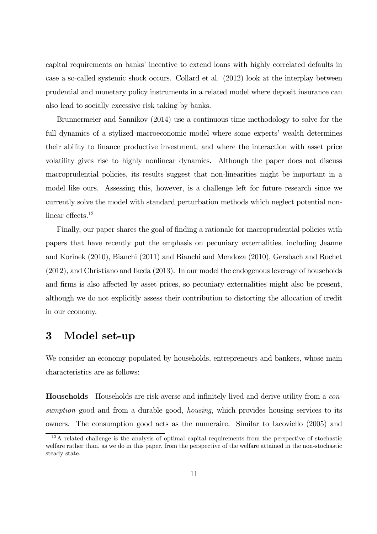capital requirements on banks' incentive to extend loans with highly correlated defaults in case a so-called systemic shock occurs. Collard et al. (2012) look at the interplay between prudential and monetary policy instruments in a related model where deposit insurance can also lead to socially excessive risk taking by banks.

Brunnermeier and Sannikov (2014) use a continuous time methodology to solve for the full dynamics of a stylized macroeconomic model where some experts' wealth determines their ability to finance productive investment, and where the interaction with asset price volatility gives rise to highly nonlinear dynamics. Although the paper does not discuss macroprudential policies, its results suggest that non-linearities might be important in a model like ours. Assessing this, however, is a challenge left for future research since we currently solve the model with standard perturbation methods which neglect potential nonlinear effects.<sup>12</sup>

Finally, our paper shares the goal of finding a rationale for macroprudential policies with papers that have recently put the emphasis on pecuniary externalities, including Jeanne and Korinek (2010), Bianchi (2011) and Bianchi and Mendoza (2010), Gersbach and Rochet (2012), and Christiano and Ikeda (2013). In our model the endogenous leverage of households and firms is also affected by asset prices, so pecuniary externalities might also be present, although we do not explicitly assess their contribution to distorting the allocation of credit in our economy.

## 3 Model set-up

We consider an economy populated by households, entrepreneurs and bankers, whose main characteristics are as follows:

Households Households are risk-averse and infinitely lived and derive utility from a consumption good and from a durable good, *housing*, which provides housing services to its owners. The consumption good acts as the numeraire. Similar to Iacoviello (2005) and

 $12A$  related challenge is the analysis of optimal capital requirements from the perspective of stochastic welfare rather than, as we do in this paper, from the perspective of the welfare attained in the non-stochastic steady state.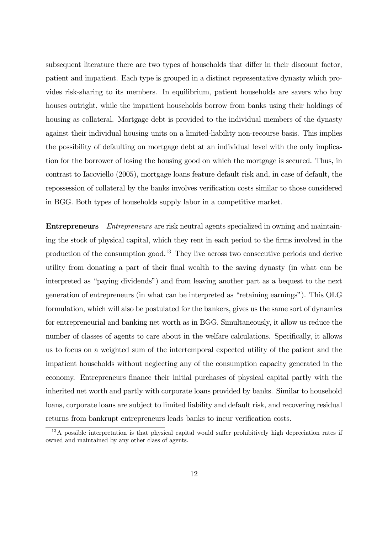subsequent literature there are two types of households that differ in their discount factor, patient and impatient. Each type is grouped in a distinct representative dynasty which provides risk-sharing to its members. In equilibrium, patient households are savers who buy houses outright, while the impatient households borrow from banks using their holdings of housing as collateral. Mortgage debt is provided to the individual members of the dynasty against their individual housing units on a limited-liability non-recourse basis. This implies the possibility of defaulting on mortgage debt at an individual level with the only implication for the borrower of losing the housing good on which the mortgage is secured. Thus, in contrast to Iacoviello (2005), mortgage loans feature default risk and, in case of default, the repossession of collateral by the banks involves verification costs similar to those considered in BGG. Both types of households supply labor in a competitive market.

Entrepreneurs Entrepreneurs are risk neutral agents specialized in owning and maintaining the stock of physical capital, which they rent in each period to the firms involved in the production of the consumption good.13 They live across two consecutive periods and derive utility from donating a part of their final wealth to the saving dynasty (in what can be interpreted as "paying dividends") and from leaving another part as a bequest to the next generation of entrepreneurs (in what can be interpreted as "retaining earnings"). This OLG formulation, which will also be postulated for the bankers, gives us the same sort of dynamics for entrepreneurial and banking net worth as in BGG. Simultaneously, it allow us reduce the number of classes of agents to care about in the welfare calculations. Specifically, it allows us to focus on a weighted sum of the intertemporal expected utility of the patient and the impatient households without neglecting any of the consumption capacity generated in the economy. Entrepreneurs finance their initial purchases of physical capital partly with the inherited net worth and partly with corporate loans provided by banks. Similar to household loans, corporate loans are subject to limited liability and default risk, and recovering residual returns from bankrupt entrepreneurs leads banks to incur verification costs.

<sup>&</sup>lt;sup>13</sup>A possible interpretation is that physical capital would suffer prohibitively high depreciation rates if owned and maintained by any other class of agents.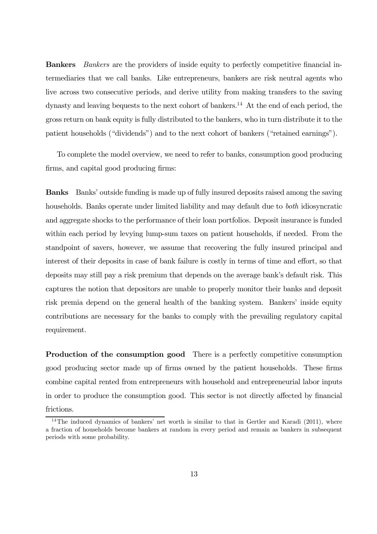Bankers Bankers are the providers of inside equity to perfectly competitive financial intermediaries that we call banks. Like entrepreneurs, bankers are risk neutral agents who live across two consecutive periods, and derive utility from making transfers to the saving dynasty and leaving bequests to the next cohort of bankers.<sup>14</sup> At the end of each period, the gross return on bank equity is fully distributed to the bankers, who in turn distribute it to the patient households ("dividends") and to the next cohort of bankers ("retained earnings").

To complete the model overview, we need to refer to banks, consumption good producing firms, and capital good producing firms:

Banks Banks' outside funding is made up of fully insured deposits raised among the saving households. Banks operate under limited liability and may default due to both idiosyncratic and aggregate shocks to the performance of their loan portfolios. Deposit insurance is funded within each period by levying lump-sum taxes on patient households, if needed. From the standpoint of savers, however, we assume that recovering the fully insured principal and interest of their deposits in case of bank failure is costly in terms of time and effort, so that deposits may still pay a risk premium that depends on the average bank's default risk. This captures the notion that depositors are unable to properly monitor their banks and deposit risk premia depend on the general health of the banking system. Bankers' inside equity contributions are necessary for the banks to comply with the prevailing regulatory capital requirement.

Production of the consumption good There is a perfectly competitive consumption good producing sector made up of firms owned by the patient households. These firms combine capital rented from entrepreneurs with household and entrepreneurial labor inputs in order to produce the consumption good. This sector is not directly affected by financial frictions.

<sup>&</sup>lt;sup>14</sup>The induced dynamics of bankers' net worth is similar to that in Gertler and Karadi (2011), where a fraction of households become bankers at random in every period and remain as bankers in subsequent periods with some probability.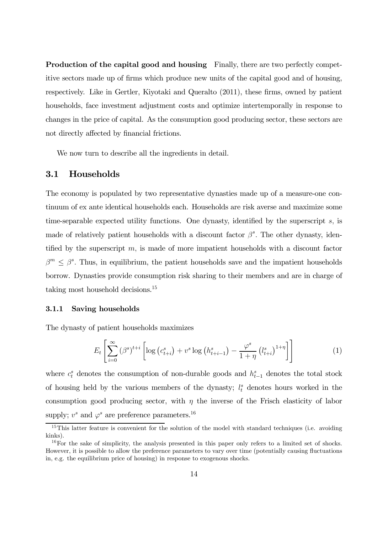Production of the capital good and housing Finally, there are two perfectly competitive sectors made up of firms which produce new units of the capital good and of housing, respectively. Like in Gertler, Kiyotaki and Queralto (2011), these firms, owned by patient households, face investment adjustment costs and optimize intertemporally in response to changes in the price of capital. As the consumption good producing sector, these sectors are not directly affected by financial frictions.

We now turn to describe all the ingredients in detail.

#### 3.1 Households

The economy is populated by two representative dynasties made up of a measure-one continuum of ex ante identical households each. Households are risk averse and maximize some time-separable expected utility functions. One dynasty, identified by the superscript s, is made of relatively patient households with a discount factor  $\beta^s$ . The other dynasty, identified by the superscript  $m$ , is made of more impatient households with a discount factor  $\beta^m \leq \beta^s$ . Thus, in equilibrium, the patient households save and the impatient households borrow. Dynasties provide consumption risk sharing to their members and are in charge of taking most household decisions.15

#### 3.1.1 Saving households

The dynasty of patient households maximizes

$$
E_t\left[\sum_{i=0}^{\infty} \left(\beta^s\right)^{t+i} \left[\log\left(c_{t+i}^s\right) + v^s \log\left(h_{t+i-1}^s\right) - \frac{\varphi^s}{1+\eta} \left(l_{t+i}^s\right)^{1+\eta}\right]\right] \tag{1}
$$

where  $c_t^s$  denotes the consumption of non-durable goods and  $h_{t-1}^s$  denotes the total stock of housing held by the various members of the dynasty;  $l_t^s$  denotes hours worked in the consumption good producing sector, with  $\eta$  the inverse of the Frisch elasticity of labor supply;  $v^s$  and  $\varphi^s$  are preference parameters.<sup>16</sup>

<sup>&</sup>lt;sup>15</sup>This latter feature is convenient for the solution of the model with standard techniques (i.e. avoiding kinks).

<sup>&</sup>lt;sup>16</sup>For the sake of simplicity, the analysis presented in this paper only refers to a limited set of shocks. However, it is possible to allow the preference parameters to vary over time (potentially causing fluctuations in, e.g. the equilibrium price of housing) in response to exogenous shocks.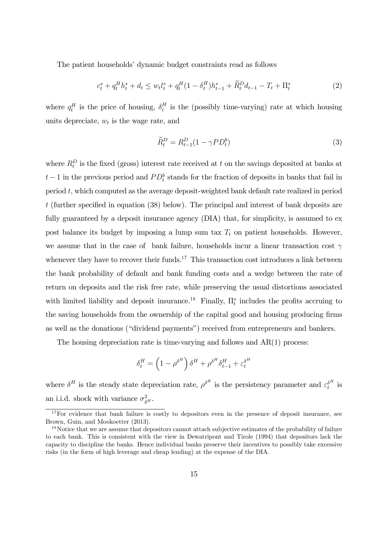The patient households' dynamic budget constraints read as follows

$$
c_t^s + q_t^H h_t^s + d_t \le w_t l_t^s + q_t^H (1 - \delta_t^H) h_{t-1}^s + \widetilde{R}_t^D d_{t-1} - T_t + \Pi_t^s
$$
\n<sup>(2)</sup>

where  $q_t^H$  is the price of housing,  $\delta_t^H$  is the (possibly time-varying) rate at which housing units depreciate,  $w_t$  is the wage rate, and

$$
\widetilde{R}_t^D = R_{t-1}^D (1 - \gamma P D_t^b) \tag{3}
$$

where  $R_t^D$  is the fixed (gross) interest rate received at t on the savings deposited at banks at  $t-1$  in the previous period and  $PD_t^b$  stands for the fraction of deposits in banks that fail in period  $t$ , which computed as the average deposit-weighted bank default rate realized in period t (further specified in equation (38) below). The principal and interest of bank deposits are fully guaranteed by a deposit insurance agency (DIA) that, for simplicity, is assumed to ex post balance its budget by imposing a lump sum tax  $T_t$  on patient households. However, we assume that in the case of bank failure, households incur a linear transaction cost  $\gamma$ whenever they have to recover their funds.<sup>17</sup> This transaction cost introduces a link between the bank probability of default and bank funding costs and a wedge between the rate of return on deposits and the risk free rate, while preserving the usual distortions associated with limited liability and deposit insurance.<sup>18</sup> Finally,  $\Pi_t^s$  includes the profits accruing to the saving households from the ownership of the capital good and housing producing firms as well as the donations ("dividend payments") received from entrepreneurs and bankers.

The housing depreciation rate is time-varying and follows and  $AR(1)$  process:

$$
\delta_t^H = \left(1-\rho^{\delta^H}\right)\delta^H + \rho^{\delta^H}\delta_{t-1}^H + \varepsilon_t^{\delta^H}
$$

where  $\delta^H$  is the steady state depreciation rate,  $\rho^{\delta^H}$  is the persistency parameter and  $\varepsilon_t^{\delta^H}$  is an i.i.d. shock with variance  $\sigma_{\delta^H}^2$ .

 $17F$ or evidence that bank failure is costly to depositors even in the presence of deposit insurance, see Brown, Guin, and Mookoetter (2013).

<sup>&</sup>lt;sup>18</sup>Notice that we are assume that depositors cannot attach subjective estimates of the probability of failure to each bank. This is consistent with the view in Dewatripont and Tirole (1994) that depositors lack the capacity to discipline the banks. Hence individual banks preserve their incentives to possibly take excessive risks (in the form of high leverage and cheap lending) at the expense of the DIA.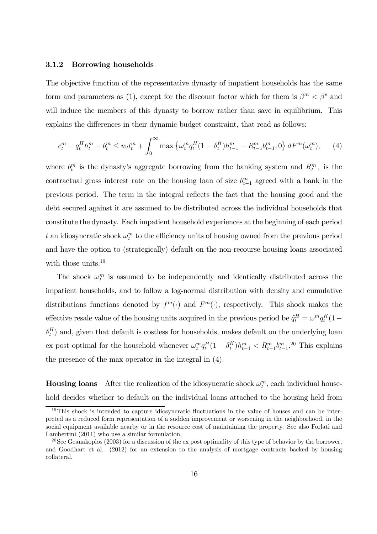#### 3.1.2 Borrowing households

The objective function of the representative dynasty of impatient households has the same form and parameters as (1), except for the discount factor which for them is  $\beta^{m} < \beta^{s}$  and will induce the members of this dynasty to borrow rather than save in equilibrium. This explains the differences in their dynamic budget constraint, that read as follows:

$$
c_t^m + q_t^H h_t^m - b_t^m \le w_t l_t^m + \int_0^\infty \max \left\{ \omega_t^m q_t^H (1 - \delta_t^H) h_{t-1}^m - R_{t-1}^m b_{t-1}^m, 0 \right\} dF^m(\omega_t^m), \tag{4}
$$

where  $b_t^m$  is the dynasty's aggregate borrowing from the banking system and  $R_{t-1}^m$  is the contractual gross interest rate on the housing loan of size  $b_{t-1}^m$  agreed with a bank in the previous period. The term in the integral reflects the fact that the housing good and the debt secured against it are assumed to be distributed across the individual households that constitute the dynasty. Each impatient household experiences at the beginning of each period t an idiosyncratic shock  $\omega_t^m$  to the efficiency units of housing owned from the previous period and have the option to (strategically) default on the non-recourse housing loans associated with those units.<sup>19</sup>

The shock  $\omega_t^m$  is assumed to be independently and identically distributed across the impatient households, and to follow a log-normal distribution with density and cumulative distributions functions denoted by  $f^m(\cdot)$  and  $F^m(\cdot)$ , respectively. This shock makes the effective resale value of the housing units acquired in the previous period be  $\tilde{q}^H_t = \omega^m q^H_t (1 \delta_t^H$ ) and, given that default is costless for households, makes default on the underlying loan ex post optimal for the household whenever  $\omega_t^m q_t^H (1 - \delta_t^H) h_{t-1}^m < R_{t-1}^m b_{t-1}^m$ .<sup>20</sup> This explains the presence of the max operator in the integral in (4).

**Housing loans** After the realization of the idiosyncratic shock  $\omega_t^m$ , each individual household decides whether to default on the individual loans attached to the housing held from

<sup>19</sup>This shock is intended to capture idiosyncratic fluctuations in the value of houses and can be interpreted as a reduced form representation of a sudden improvement or worsening in the neighborhood, in the social equipment available nearby or in the resource cost of maintaining the property. See also Forlati and Lambertini (2011) who use a similar formulation.

 $^{20}$ See Geanakoplos (2003) for a discussion of the ex post optimality of this type of behavior by the borrower, and Goodhart et al. (2012) for an extension to the analysis of mortgage contracts backed by housing collateral.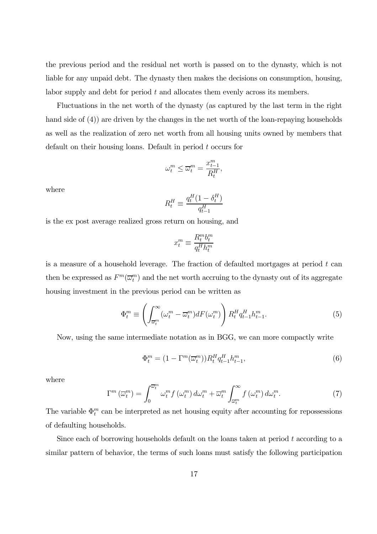the previous period and the residual net worth is passed on to the dynasty, which is not liable for any unpaid debt. The dynasty then makes the decisions on consumption, housing, labor supply and debt for period t and allocates them evenly across its members.

Fluctuations in the net worth of the dynasty (as captured by the last term in the right hand side of (4)) are driven by the changes in the net worth of the loan-repaying households as well as the realization of zero net worth from all housing units owned by members that default on their housing loans. Default in period t occurs for

$$
\omega_t^m \le \overline{\omega}_t^m = \frac{x_{t-1}^m}{R_t^H},
$$

where

$$
R_t^H \equiv \frac{q_t^H (1 - \delta_t^H)}{q_{t-1}^H}
$$

is the ex post average realized gross return on housing, and

$$
x_t^m \equiv \frac{R_t^m b_t^m}{q_t^H h_t^m}
$$

is a measure of a household leverage. The fraction of defaulted mortgages at period  $t$  can then be expressed as  $F^m(\overline{\omega}_t^m)$  and the net worth accruing to the dynasty out of its aggregate housing investment in the previous period can be written as

$$
\Phi_t^m \equiv \left( \int_{\overline{\omega}_t^m}^{\infty} (\omega_t^m - \overline{\omega}_t^m) dF(\omega_t^m) \right) R_t^H q_{t-1}^H h_{t-1}^m. \tag{5}
$$

Now, using the same intermediate notation as in BGG, we can more compactly write

$$
\Phi_t^m = \left(1 - \Gamma^m(\overline{\omega}_t^m)\right) R_t^H q_{t-1}^H h_{t-1}^m,\tag{6}
$$

where

$$
\Gamma^{m}\left(\overline{\omega}_{t}^{m}\right) = \int_{0}^{\overline{\omega}_{t}^{m}} \omega_{t}^{m} f\left(\omega_{t}^{m}\right) d\omega_{t}^{m} + \overline{\omega}_{t}^{m} \int_{\overline{\omega}_{t}^{m}}^{\infty} f\left(\omega_{t}^{m}\right) d\omega_{t}^{m}.
$$
\n(7)

The variable  $\Phi_t^m$  can be interpreted as net housing equity after accounting for repossessions of defaulting households.

Since each of borrowing households default on the loans taken at period t according to a similar pattern of behavior, the terms of such loans must satisfy the following participation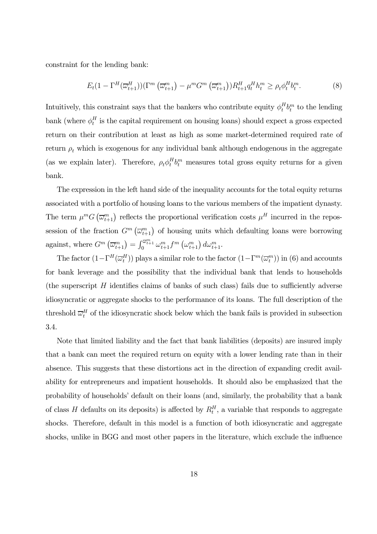constraint for the lending bank:

$$
E_t(1 - \Gamma^H(\overline{\omega}_{t+1}^H))(\Gamma^m(\overline{\omega}_{t+1}^m) - \mu^m G^m(\overline{\omega}_{t+1}^m))R_{t+1}^H q_t^H h_t^m \ge \rho_t \phi_t^H b_t^m. \tag{8}
$$

Intuitively, this constraint says that the bankers who contribute equity  $\phi_t^H b_t^m$  to the lending bank (where  $\phi_t^H$  is the capital requirement on housing loans) should expect a gross expected return on their contribution at least as high as some market-determined required rate of return  $\rho_t$  which is exogenous for any individual bank although endogenous in the aggregate (as we explain later). Therefore,  $\rho_t \phi_t^H b_t^m$  measures total gross equity returns for a given bank.

The expression in the left hand side of the inequality accounts for the total equity returns associated with a portfolio of housing loans to the various members of the impatient dynasty. The term  $\mu^m G\left(\overline{\omega}_{t+1}^m\right)$  reflects the proportional verification costs  $\mu^H$  incurred in the repossession of the fraction  $G^m(\overline{\omega}_{t+1}^m)$  of housing units which defaulting loans were borrowing against, where  $G^m\left(\overline{\omega}_{t+1}^m\right) = \int_0^{\overline{\omega}_{t+1}^m} \omega_{t+1}^m f^m\left(\omega_{t+1}^m\right) d\omega_{t+1}^m$ .

The factor  $(1-\Gamma^H(\overline{\omega}_t^H))$  plays a similar role to the factor  $(1-\Gamma^m(\overline{\omega}_t^m))$  in (6) and accounts for bank leverage and the possibility that the individual bank that lends to households (the superscript  $H$  identifies claims of banks of such class) fails due to sufficiently adverse idiosyncratic or aggregate shocks to the performance of its loans. The full description of the threshold  $\overline{\omega}_t^H$  of the idiosyncratic shock below which the bank fails is provided in subsection 3.4.

Note that limited liability and the fact that bank liabilities (deposits) are insured imply that a bank can meet the required return on equity with a lower lending rate than in their absence. This suggests that these distortions act in the direction of expanding credit availability for entrepreneurs and impatient households. It should also be emphasized that the probability of households' default on their loans (and, similarly, the probability that a bank of class H defaults on its deposits) is affected by  $R_t^H$ , a variable that responds to aggregate shocks. Therefore, default in this model is a function of both idiosyncratic and aggregate shocks, unlike in BGG and most other papers in the literature, which exclude the influence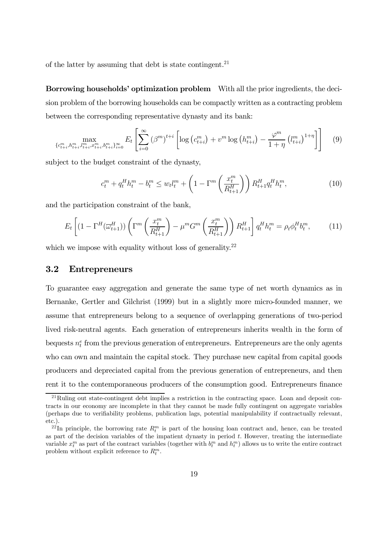of the latter by assuming that debt is state contingent.<sup>21</sup>

Borrowing households' optimization problem With all the prior ingredients, the decision problem of the borrowing households can be compactly written as a contracting problem between the corresponding representative dynasty and its bank:

$$
\max_{\{c_{t+i}^m, h_{t+i}^m, l_{t+i}^m, z_{t+i}^m, b_{t+i}^m\}_{i=0}^{\infty}} E_t \left[ \sum_{i=0}^{\infty} \left( \beta^m \right)^{t+i} \left[ \log \left( c_{t+i}^m \right) + v^m \log \left( h_{t+i}^m \right) - \frac{\varphi^m}{1+\eta} \left( l_{t+i}^m \right)^{1+\eta} \right] \right] \tag{9}
$$

subject to the budget constraint of the dynasty,

$$
c_t^m + q_t^H h_t^m - b_t^m \le w_t l_t^m + \left(1 - \Gamma^m \left(\frac{x_t^m}{R_{t+1}^H}\right)\right) R_{t+1}^H q_t^H h_t^m,\tag{10}
$$

and the participation constraint of the bank,

$$
E_t\left[ (1 - \Gamma^H(\overline{\omega}_{t+1}^H)) \left( \Gamma^m \left( \frac{x_t^m}{R_{t+1}^H} \right) - \mu^m G^m \left( \frac{x_t^m}{R_{t+1}^H} \right) \right) R_{t+1}^H \right] q_t^H h_t^m = \rho_t \phi_t^H b_t^m, \tag{11}
$$

which we impose with equality without loss of generality.<sup>22</sup>

#### 3.2 Entrepreneurs

To guarantee easy aggregation and generate the same type of net worth dynamics as in Bernanke, Gertler and Gilchrist (1999) but in a slightly more micro-founded manner, we assume that entrepreneurs belong to a sequence of overlapping generations of two-period lived risk-neutral agents. Each generation of entrepreneurs inherits wealth in the form of bequests  $n_t^e$  from the previous generation of entrepreneurs. Entrepreneurs are the only agents who can own and maintain the capital stock. They purchase new capital from capital goods producers and depreciated capital from the previous generation of entrepreneurs, and then rent it to the contemporaneous producers of the consumption good. Entrepreneurs finance

<sup>21</sup>Ruling out state-contingent debt implies a restriction in the contracting space. Loan and deposit contracts in our economy are incomplete in that they cannot be made fully contingent on aggregate variables (perhaps due to verifiability problems, publication lags, potential manipulability if contractually relevant, etc.).

<sup>&</sup>lt;sup>22</sup>In principle, the borrowing rate  $R_t^m$  is part of the housing loan contract and, hence, can be treated as part of the decision variables of the impatient dynasty in period  $t$ . However, treating the intermediate variable  $x_t^m$  as part of the contract variables (together with  $b_t^m$  and  $h_t^m$ ) allows us to write the entire contract problem without explicit reference to  $R_t^m$ .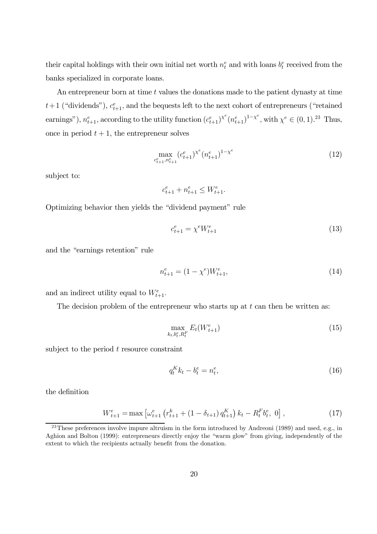their capital holdings with their own initial net worth  $n_t^e$  and with loans  $b_t^e$  received from the banks specialized in corporate loans.

An entrepreneur born at time  $t$  values the donations made to the patient dynasty at time  $t+1$  ("dividends"),  $c_{t+1}^e$ , and the bequests left to the next cohort of entrepreneurs ("retained earnings"),  $n_{t+1}^e$ , according to the utility function  $(c_{t+1}^e)^{\chi^e}(n_{t+1}^e)^{1-\chi^e}$ , with  $\chi^e \in (0,1).^{23}$  Thus, once in period  $t + 1$ , the entrepreneur solves

$$
\max_{c_{t+1}^e, n_{t+1}^e} (c_{t+1}^e)^{\chi^e} (n_{t+1}^e)^{1-\chi^e} \tag{12}
$$

subject to:

$$
c_{t+1}^e + n_{t+1}^e \leq W_{t+1}^e.
$$

Optimizing behavior then yields the "dividend payment" rule

$$
c_{t+1}^e = \chi^e W_{t+1}^e \tag{13}
$$

and the "earnings retention" rule

$$
n_{t+1}^e = (1 - \chi^e)W_{t+1}^e,\tag{14}
$$

and an indirect utility equal to  $W_{t+1}^e$ .

The decision problem of the entrepreneur who starts up at  $t$  can then be written as:

$$
\max_{k_t, b_t^e, R_t^F} E_t(W_{t+1}^e) \tag{15}
$$

subject to the period  $t$  resource constraint

$$
q_t^K k_t - b_t^e = n_t^e,\tag{16}
$$

the definition

$$
W_{t+1}^{e} = \max \left[ \omega_{t+1}^{e} \left( r_{t+1}^{k} + (1 - \delta_{t+1}) q_{t+1}^{K} \right) k_{t} - R_{t}^{F} b_{t}^{e}, 0 \right],
$$
\n(17)

<sup>&</sup>lt;sup>23</sup>These preferences involve impure altruism in the form introduced by Andreoni (1989) and used, e.g., in Aghion and Bolton (1999): entrepreneurs directly enjoy the "warm glow" from giving, independently of the extent to which the recipients actually benefit from the donation.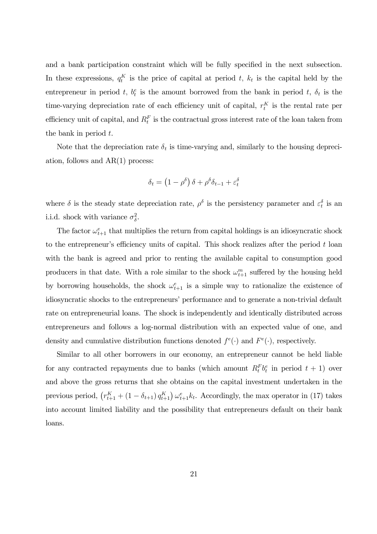and a bank participation constraint which will be fully specified in the next subsection. In these expressions,  $q_t^K$  is the price of capital at period t,  $k_t$  is the capital held by the entrepreneur in period t,  $b_t^e$  is the amount borrowed from the bank in period t,  $\delta_t$  is the time-varying depreciation rate of each efficiency unit of capital,  $r_t^K$  is the rental rate per efficiency unit of capital, and  $R_t^F$  is the contractual gross interest rate of the loan taken from the bank in period  $t$ .

Note that the depreciation rate  $\delta_t$  is time-varying and, similarly to the housing depreciation, follows and AR(1) process:

$$
\delta_t = \left(1 - \rho^{\delta}\right)\delta + \rho^{\delta}\delta_{t-1} + \varepsilon_t^{\delta}
$$

where  $\delta$  is the steady state depreciation rate,  $\rho^{\delta}$  is the persistency parameter and  $\varepsilon_t^{\delta}$  is an i.i.d. shock with variance  $\sigma_{\delta}^2$ .

The factor  $\omega_{t+1}^e$  that multiplies the return from capital holdings is an idiosyncratic shock to the entrepreneur's efficiency units of capital. This shock realizes after the period  $t$  loan with the bank is agreed and prior to renting the available capital to consumption good producers in that date. With a role similar to the shock  $\omega_{t+1}^m$  suffered by the housing held by borrowing households, the shock  $\omega_{t+1}^e$  is a simple way to rationalize the existence of idiosyncratic shocks to the entrepreneurs' performance and to generate a non-trivial default rate on entrepreneurial loans. The shock is independently and identically distributed across entrepreneurs and follows a log-normal distribution with an expected value of one, and density and cumulative distribution functions denoted  $f^e(\cdot)$  and  $F^e(\cdot)$ , respectively.

Similar to all other borrowers in our economy, an entrepreneur cannot be held liable for any contracted repayments due to banks (which amount  $R_t^F b_t^e$  in period  $t + 1$ ) over and above the gross returns that she obtains on the capital investment undertaken in the previous period,  $(r_{t+1}^K + (1 - \delta_{t+1}) q_{t+1}^K) \omega_{t+1}^e k_t$ . Accordingly, the max operator in (17) takes into account limited liability and the possibility that entrepreneurs default on their bank loans.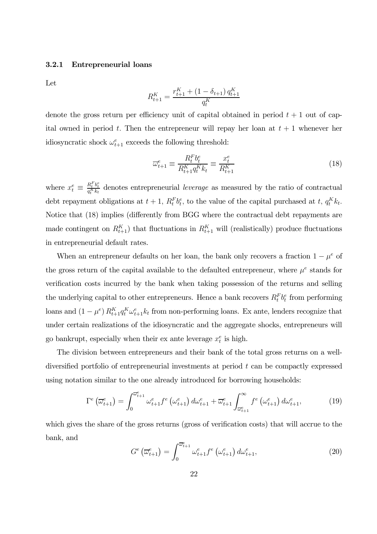#### 3.2.1 Entrepreneurial loans

Let

$$
R_{t+1}^K = \frac{r_{t+1}^K + (1 - \delta_{t+1}) q_{t+1}^K}{q_t^K}
$$

denote the gross return per efficiency unit of capital obtained in period  $t + 1$  out of capital owned in period t. Then the entrepreneur will repay her loan at  $t + 1$  whenever her idiosyncratic shock  $\omega_{t+1}^e$  exceeds the following threshold:

$$
\overline{\omega}_{t+1}^e \equiv \frac{R_t^F b_t^e}{R_{t+1}^K q_t^K k_t} \equiv \frac{x_t^e}{R_{t+1}^K} \tag{18}
$$

where  $x_t^e \equiv$  $\frac{R_t^F b_t^e}{q_t^K k_t}$  denotes entrepreneurial *leverage* as measured by the ratio of contractual debt repayment obligations at  $t + 1$ ,  $R_t^F b_t^e$ , to the value of the capital purchased at t,  $q_t^K k_t$ . Notice that (18) implies (differently from BGG where the contractual debt repayments are made contingent on  $R_{t+1}^K$ ) that fluctuations in  $R_{t+1}^K$  will (realistically) produce fluctuations in entrepreneurial default rates.

When an entrepreneur defaults on her loan, the bank only recovers a fraction  $1 - \mu^e$  of the gross return of the capital available to the defaulted entrepreneur, where  $\mu^e$  stands for verification costs incurred by the bank when taking possession of the returns and selling the underlying capital to other entrepreneurs. Hence a bank recovers  $R_t^F b_t^e$  from performing loans and  $(1 - \mu^e) R_{t+1}^K q_t^e \omega_{t+1}^e k_t$  from non-performing loans. Ex ante, lenders recognize that under certain realizations of the idiosyncratic and the aggregate shocks, entrepreneurs will go bankrupt, especially when their ex ante leverage  $x_t^e$  is high.

The division between entrepreneurs and their bank of the total gross returns on a welldiversified portfolio of entrepreneurial investments at period t can be compactly expressed using notation similar to the one already introduced for borrowing households:

$$
\Gamma^{e}\left(\overline{\omega}_{t+1}^{e}\right) = \int_{0}^{\overline{\omega}_{t+1}^{e}} \omega_{t+1}^{e} f^{e}\left(\omega_{t+1}^{e}\right) d\omega_{t+1}^{e} + \overline{\omega}_{t+1}^{e} \int_{\overline{\omega}_{t+1}^{e}}^{\infty} f^{e}\left(\omega_{t+1}^{e}\right) d\omega_{t+1}^{e},\tag{19}
$$

which gives the share of the gross returns (gross of verification costs) that will accrue to the bank, and

$$
G^{e}\left(\overline{\omega}_{t+1}^{e}\right) = \int_{0}^{\overline{\omega}_{t+1}^{e}} \omega_{t+1}^{e} f^{e}\left(\omega_{t+1}^{e}\right) d\omega_{t+1}^{e}, \tag{20}
$$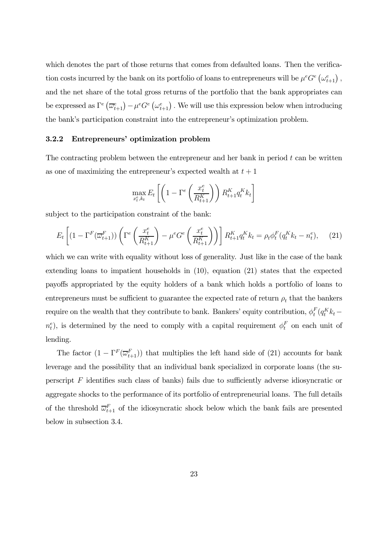which denotes the part of those returns that comes from defaulted loans. Then the verification costs incurred by the bank on its portfolio of loans to entrepreneurs will be  $\mu^e G^e \left(\omega_{t+1}^e\right)$ , and the net share of the total gross returns of the portfolio that the bank appropriates can be expressed as  $\Gamma^e \left( \overline{\omega}_{t+1}^e \right) - \mu^e G^e \left( \omega_{t+1}^e \right)$ . We will use this expression below when introducing the bank's participation constraint into the entrepreneur's optimization problem.

#### 3.2.2 Entrepreneurs' optimization problem

The contracting problem between the entrepreneur and her bank in period  $t$  can be written as one of maximizing the entrepreneur's expected wealth at  $t + 1$ 

$$
\max_{x_t^e, k_t} E_t \left[ \left( 1 - \Gamma^e \left( \frac{x_t^e}{R_{t+1}^K} \right) \right) R_{t+1}^K q_t^K k_t \right]
$$

subject to the participation constraint of the bank:

$$
E_t\left[ (1 - \Gamma^F(\overline{\omega}_{t+1}^F)) \left( \Gamma^e\left(\frac{x_t^e}{R_{t+1}^K} \right) - \mu^e G^e \left(\frac{x_t^e}{R_{t+1}^K} \right) \right) \right] R_{t+1}^K q_t^K k_t = \rho_t \phi_t^F(q_t^K k_t - n_t^e), \tag{21}
$$

which we can write with equality without loss of generality. Just like in the case of the bank extending loans to impatient households in (10), equation (21) states that the expected payoffs appropriated by the equity holders of a bank which holds a portfolio of loans to entrepreneurs must be sufficient to guarantee the expected rate of return  $\rho_t$  that the bankers require on the wealth that they contribute to bank. Bankers' equity contribution,  $\phi_t^F(q_t^K k_t$  $n_t^e$ ), is determined by the need to comply with a capital requirement  $\phi_t^F$  on each unit of lending.

The factor  $(1 - \Gamma^F(\overline{\omega}_{t+1}^F))$  that multiplies the left hand side of (21) accounts for bank leverage and the possibility that an individual bank specialized in corporate loans (the superscript  $F$  identifies such class of banks) fails due to sufficiently adverse idiosyncratic or aggregate shocks to the performance of its portfolio of entrepreneurial loans. The full details of the threshold  $\overline{\omega}_{t+1}^F$  of the idiosyncratic shock below which the bank fails are presented below in subsection 3.4.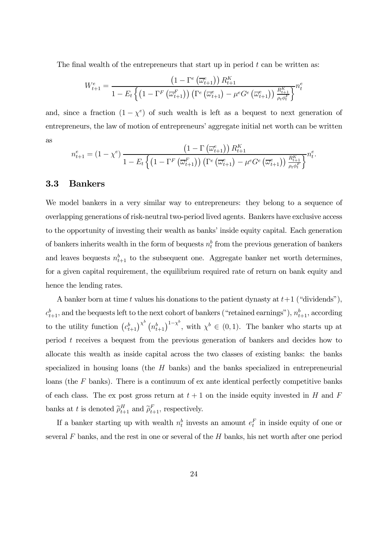The final wealth of the entrepreneurs that start up in period  $t$  can be written as:

$$
W_{t+1}^{e} = \frac{\left(1 - \Gamma^{e}\left(\overline{\omega}_{t+1}^{e}\right)\right)R_{t+1}^{K}}{1 - E_{t}\left\{\left(1 - \Gamma^{F}\left(\overline{\omega}_{t+1}^{F}\right)\right)\left(\Gamma^{e}\left(\overline{\omega}_{t+1}^{e}\right) - \mu^{e}G^{e}\left(\overline{\omega}_{t+1}^{e}\right)\right)\frac{R_{t+1}^{K}}{\rho_{t}\phi_{t}^{F}}\right\}}n_{t}^{e}
$$

and, since a fraction  $(1 - \chi^e)$  of such wealth is left as a bequest to next generation of entrepreneurs, the law of motion of entrepreneurs' aggregate initial net worth can be written as

$$
n_{t+1}^{e} = \left(1 - \chi^{e}\right) \frac{\left(1 - \Gamma\left(\overline{\omega}_{t+1}^{e}\right)\right) R_{t+1}^{K}}{1 - E_{t} \left\{\left(1 - \Gamma^{F}\left(\overline{\omega}_{t+1}^{F}\right)\right) \left(\Gamma^{e}\left(\overline{\omega}_{t+1}^{e}\right) - \mu^{e} G^{e}\left(\overline{\omega}_{t+1}^{e}\right)\right) \frac{R_{t+1}^{K}}{\rho_{t} \phi_{t}^{F}}\right\}} n_{t}^{e}.
$$

#### 3.3 Bankers

We model bankers in a very similar way to entrepreneurs: they belong to a sequence of overlapping generations of risk-neutral two-period lived agents. Bankers have exclusive access to the opportunity of investing their wealth as banks' inside equity capital. Each generation of bankers inherits wealth in the form of bequests  $n_t$  from the previous generation of bankers and leaves bequests  $n_{t+1}^b$  to the subsequent one. Aggregate banker net worth determines, for a given capital requirement, the equilibrium required rate of return on bank equity and hence the lending rates.

A banker born at time t values his donations to the patient dynasty at  $t+1$  ("dividends"),  $c_{t+1}^b$ , and the bequests left to the next cohort of bankers ("retained earnings"),  $n_{t+1}^b$ , according to the utility function  $(c_{t+1}^b)^{\chi^b} (n_{t+1}^b)^{1-\chi^b}$ , with  $\chi^b \in (0,1)$ . The banker who starts up at period t receives a bequest from the previous generation of bankers and decides how to allocate this wealth as inside capital across the two classes of existing banks: the banks specialized in housing loans (the H banks) and the banks specialized in entrepreneurial loans (the F banks). There is a continuum of ex ante identical perfectly competitive banks of each class. The ex post gross return at  $t + 1$  on the inside equity invested in H and F banks at t is denoted  $\widetilde{\rho}_{t+1}^H$  and  $\widetilde{\rho}_{t+1}^F$ , respectively.

If a banker starting up with wealth  $n_t^b$  invests an amount  $e_t^F$  in inside equity of one or several  $F$  banks, and the rest in one or several of the  $H$  banks, his net worth after one period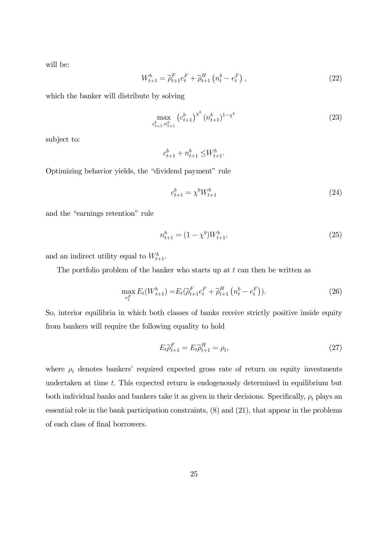will be:

$$
W_{t+1}^{b} = \tilde{\rho}_{t+1}^{F} e_t^{F} + \tilde{\rho}_{t+1}^{H} \left( n_t^{b} - e_t^{F} \right), \qquad (22)
$$

which the banker will distribute by solving

$$
\max_{c_{t+1}^b, n_{t+1}^b} \left( c_{t+1}^b \right)^{\chi^b} (n_{t+1}^b)^{1-\chi^b} \tag{23}
$$

subject to:

$$
c_{t+1}^b + n_{t+1}^b \leq W_{t+1}^b.
$$

Optimizing behavior yields, the "dividend payment" rule

$$
c_{t+1}^b = \chi^b W_{t+1}^b \tag{24}
$$

and the "earnings retention" rule

$$
n_{t+1}^b = (1 - \chi^b)W_{t+1}^b,
$$
\n(25)

and an indirect utility equal to  $W_{t+1}^b$ .

The portfolio problem of the banker who starts up at  $t$  can then be written as

$$
\max_{e_t^F} E_t(W_{t+1}^b) = E_t(\widetilde{\rho}_{t+1}^F e_t^F + \widetilde{\rho}_{t+1}^H (n_t^b - e_t^F)).
$$
\n(26)

So, interior equilibria in which both classes of banks receive strictly positive inside equity from bankers will require the following equality to hold

$$
E_t \widetilde{\rho}_{t+1}^F = E_t \widetilde{\rho}_{t+1}^H = \rho_t,\tag{27}
$$

where  $\rho_t$  denotes bankers' required expected gross rate of return on equity investments undertaken at time  $t$ . This expected return is endogenously determined in equilibrium but both individual banks and bankers take it as given in their decisions. Specifically,  $\rho_t$  plays an essential role in the bank participation constraints, (8) and (21), that appear in the problems of each class of final borrowers.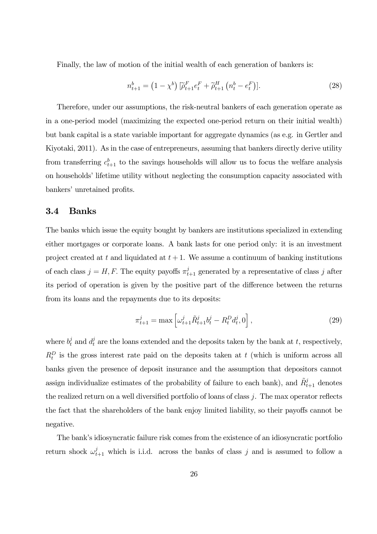Finally, the law of motion of the initial wealth of each generation of bankers is:

$$
n_{t+1}^b = (1 - \chi^b) \left[ \tilde{\rho}_{t+1}^F e_t^F + \tilde{\rho}_{t+1}^H \left( n_t^b - e_t^F \right) \right]. \tag{28}
$$

Therefore, under our assumptions, the risk-neutral bankers of each generation operate as in a one-period model (maximizing the expected one-period return on their initial wealth) but bank capital is a state variable important for aggregate dynamics (as e.g. in Gertler and Kiyotaki, 2011). As in the case of entrepreneurs, assuming that bankers directly derive utility from transferring  $c_{t+1}^b$  to the savings households will allow us to focus the welfare analysis on households' lifetime utility without neglecting the consumption capacity associated with bankers' unretained profits.

#### 3.4 Banks

The banks which issue the equity bought by bankers are institutions specialized in extending either mortgages or corporate loans. A bank lasts for one period only: it is an investment project created at t and liquidated at  $t + 1$ . We assume a continuum of banking institutions of each class  $j = H, F$ . The equity payoffs  $\pi_{t+1}^j$  generated by a representative of class j after its period of operation is given by the positive part of the difference between the returns from its loans and the repayments due to its deposits:

$$
\pi_{t+1}^j = \max \left[ \omega_{t+1}^j \tilde{R}_{t+1}^j b_t^j - R_t^D d_t^j, 0 \right],\tag{29}
$$

where  $b_t^j$  and  $d_t^j$  are the loans extended and the deposits taken by the bank at t, respectively,  $R_t^D$  is the gross interest rate paid on the deposits taken at t (which is uniform across all banks given the presence of deposit insurance and the assumption that depositors cannot assign individualize estimates of the probability of failure to each bank), and  $\tilde{R}^j_{t+1}$  denotes the realized return on a well diversified portfolio of loans of class j. The max operator reflects the fact that the shareholders of the bank enjoy limited liability, so their payoffs cannot be negative.

The bank's idiosyncratic failure risk comes from the existence of an idiosyncratic portfolio return shock  $\omega_{t+1}^j$  which is i.i.d. across the banks of class j and is assumed to follow a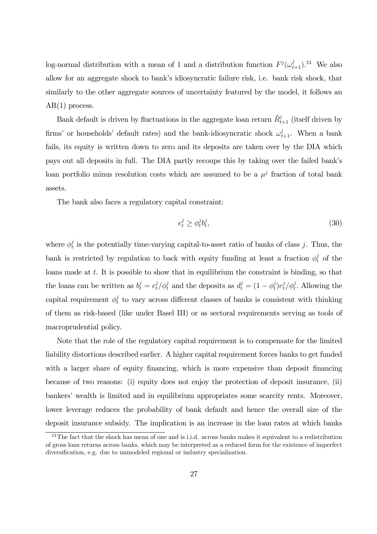log-normal distribution with a mean of 1 and a distribution function  $F^{j}(\omega_{t+1}^{j})$ .<sup>24</sup> We also allow for an aggregate shock to bank's idiosyncratic failure risk, i.e. bank risk shock, that similarly to the other aggregate sources of uncertainty featured by the model, it follows an  $AR(1)$  process.

Bank default is driven by fluctuations in the aggregate loan return  $\tilde{R}^j_{t+1}$  (itself driven by firms' or households' default rates) and the bank-idiosyncratic shock  $\omega_{t+1}^j$ . When a bank fails, its equity is written down to zero and its deposits are taken over by the DIA which pays out all deposits in full. The DIA partly recoups this by taking over the failed bank's loan portfolio minus resolution costs which are assumed to be a  $\mu^{j}$  fraction of total bank assets.

The bank also faces a regulatory capital constraint:

$$
e_t^j \ge \phi_t^j b_t^j,\tag{30}
$$

where  $\phi_t^j$  is the potentially time-varying capital-to-asset ratio of banks of class j. Thus, the bank is restricted by regulation to back with equity funding at least a fraction  $\phi_t^j$  of the loans made at  $t$ . It is possible to show that in equilibrium the constraint is binding, so that the loans can be written as  $b_t^j = e_t^j / \phi_t^j$  and the deposits as  $d_t^j = (1 - \phi_t^j) e_t^j / \phi_t^j$ . Allowing the capital requirement  $\phi_t^j$  to vary across different classes of banks is consistent with thinking of them as risk-based (like under Basel III) or as sectoral requirements serving as tools of macroprudential policy.

Note that the role of the regulatory capital requirement is to compensate for the limited liability distortions described earlier. A higher capital requirement forces banks to get funded with a larger share of equity financing, which is more expensive than deposit financing because of two reasons: (i) equity does not enjoy the protection of deposit insurance, (ii) bankers' wealth is limited and in equilibrium appropriates some scarcity rents. Moreover, lower leverage reduces the probability of bank default and hence the overall size of the deposit insurance subsidy. The implication is an increase in the loan rates at which banks

 $^{24}$ The fact that the shock has mean of one and is i.i.d. across banks makes it equivalent to a redistribution of gross loan returns across banks, which may be interpreted as a reduced form for the existence of imperfect diversification, e.g. due to unmodeled regional or industry specialization.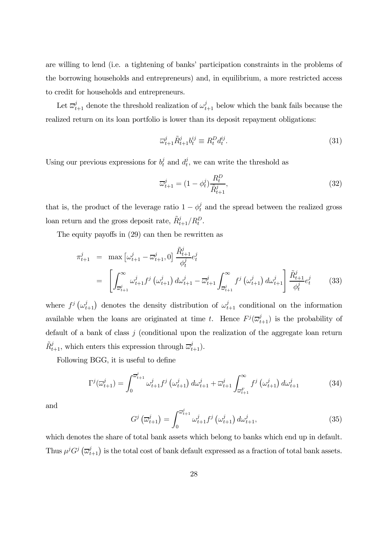are willing to lend (i.e. a tightening of banks' participation constraints in the problems of the borrowing households and entrepreneurs) and, in equilibrium, a more restricted access to credit for households and entrepreneurs.

Let  $\overline{\omega}_{t+1}^j$  denote the threshold realization of  $\omega_{t+1}^j$  below which the bank fails because the realized return on its loan portfolio is lower than its deposit repayment obligations:

$$
\overline{\omega}_{t+1}^j \tilde{R}_{t+1}^j b_t^{ij} \equiv R_t^D d_t^{ij}.
$$
\n(31)

Using our previous expressions for  $b_t^j$  and  $d_t^j$ , we can write the threshold as

$$
\overline{\omega}_{t+1}^{j} = (1 - \phi_t^{j}) \frac{R_t^{D}}{\tilde{R}_{t+1}^{j}},
$$
\n(32)

that is, the product of the leverage ratio  $1 - \phi_t^j$  and the spread between the realized gross loan return and the gross deposit rate,  $\tilde{R}_{t+1}^j / R_t^D$ .

The equity payoffs in (29) can then be rewritten as

$$
\pi_{t+1}^j = \max \left[ \omega_{t+1}^j - \overline{\omega}_{t+1}^j, 0 \right] \frac{\tilde{R}_{t+1}^j}{\phi_t^j} e_t^j
$$
\n
$$
= \left[ \int_{\overline{\omega}_{t+1}^j}^{\infty} \omega_{t+1}^j f^j \left( \omega_{t+1}^j \right) d\omega_{t+1}^j - \overline{\omega}_{t+1}^j \int_{\overline{\omega}_{t+1}^j}^{\infty} f^j \left( \omega_{t+1}^j \right) d\omega_{t+1}^j \right] \frac{\tilde{R}_{t+1}^j}{\phi_t^j} e_t^j \tag{33}
$$

where  $f^j(\omega_{t+1}^j)$  denotes the density distribution of  $\omega_{t+1}^j$  conditional on the information available when the loans are originated at time t. Hence  $F^j(\overline{\omega}_{t+1}^j)$  is the probability of default of a bank of class  $j$  (conditional upon the realization of the aggregate loan return  $\tilde{R}^j_{t+1}$ , which enters this expression through  $\overline{\omega}_{t+1}^j$ .

Following BGG, it is useful to define

$$
\Gamma^{j}(\overline{\omega}_{t+1}^{j}) = \int_{0}^{\overline{\omega}_{t+1}^{j}} \omega_{t+1}^{j} f^{j}(\omega_{t+1}^{j}) d\omega_{t+1}^{j} + \overline{\omega}_{t+1}^{j} \int_{\overline{\omega}_{t+1}^{F}}^{\infty} f^{j}(\omega_{t+1}^{j}) d\omega_{t+1}^{j}
$$
(34)

and

$$
G^j\left(\overline{\omega}_{t+1}^j\right) = \int_0^{\overline{\omega}_{t+1}^j} \omega_{t+1}^j f^j\left(\omega_{t+1}^j\right) d\omega_{t+1}^j,\tag{35}
$$

which denotes the share of total bank assets which belong to banks which end up in default. Thus  $\mu^j G^j \left(\overline{\omega}_{t+1}^j\right)$  is the total cost of bank default expressed as a fraction of total bank assets.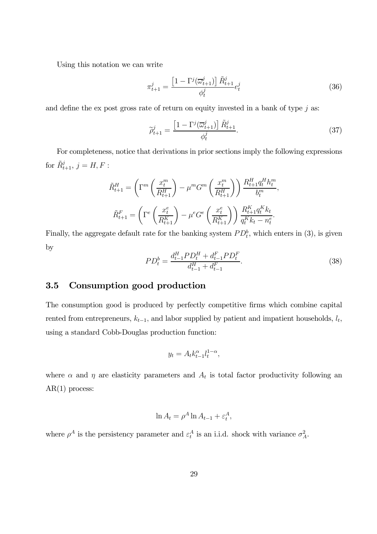Using this notation we can write

$$
\pi_{t+1}^j = \frac{\left[1 - \Gamma^j(\overline{\omega}_{t+1}^j)\right]\tilde{R}_{t+1}^j}{\phi_t^j} e_t^j \tag{36}
$$

and define the ex post gross rate of return on equity invested in a bank of type  $j$  as:

$$
\widetilde{\rho}_{t+1}^j = \frac{\left[1 - \Gamma^j(\overline{\omega}_{t+1}^j)\right] \widetilde{R}_{t+1}^j}{\phi_t^j}.
$$
\n(37)

For completeness, notice that derivations in prior sections imply the following expressions for  $\tilde{R}_{t+1}^j$ ,  $j = H, F$  :

$$
\tilde{R}_{t+1}^{H} = \left(\Gamma^{m}\left(\frac{x_{t}^{m}}{R_{t+1}^{H}}\right) - \mu^{m} G^{m}\left(\frac{x_{t}^{m}}{R_{t+1}^{H}}\right)\right) \frac{R_{t+1}^{H} q_{t}^{H} h_{t}^{m}}{b_{t}^{m}},
$$
\n
$$
\tilde{R}_{t+1}^{F} = \left(\Gamma^{e}\left(\frac{x_{t}^{e}}{R_{t+1}^{K}}\right) - \mu^{e} G^{e}\left(\frac{x_{t}^{e}}{R_{t+1}^{K}}\right)\right) \frac{R_{t+1}^{K} q_{t}^{K} k_{t}}{q_{t}^{K} k_{t} - n_{t}^{e}}.
$$

Finally, the aggregate default rate for the banking system  $PD_t^b$ , which enters in (3), is given by

$$
PD_t^b = \frac{d_{t-1}^H PD_t^H + d_{t-1}^F PD_t^F}{d_{t-1}^H + d_{t-1}^F}.
$$
\n(38)

#### 3.5 Consumption good production

The consumption good is produced by perfectly competitive firms which combine capital rented from entrepreneurs,  $k_{t-1}$ , and labor supplied by patient and impatient households,  $l_t$ , using a standard Cobb-Douglas production function:

$$
y_t = A_t k_{t-1}^{\alpha} l_t^{1-\alpha},
$$

where  $\alpha$  and  $\eta$  are elasticity parameters and  $A_t$  is total factor productivity following an  $AR(1)$  process:

$$
\ln A_t = \rho^A \ln A_{t-1} + \varepsilon_t^A,
$$

where  $\rho^A$  is the persistency parameter and  $\varepsilon_t^A$  is an i.i.d. shock with variance  $\sigma_A^2$ .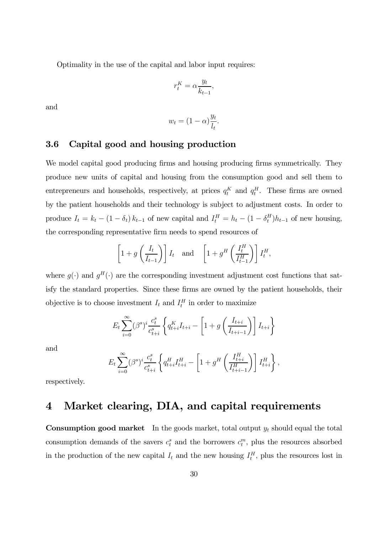Optimality in the use of the capital and labor input requires:

$$
r_t^K = \alpha \frac{y_t}{k_{t-1}},
$$

and

$$
w_t = (1 - \alpha) \frac{y_t}{l_t}.
$$

#### 3.6 Capital good and housing production

We model capital good producing firms and housing producing firms symmetrically. They produce new units of capital and housing from the consumption good and sell them to entrepreneurs and households, respectively, at prices  $q_t^K$  and  $q_t^H$ . These firms are owned by the patient households and their technology is subject to adjustment costs. In order to produce  $I_t = k_t - (1 - \delta_t) k_{t-1}$  of new capital and  $I_t^H = h_t - (1 - \delta_t^H) h_{t-1}$  of new housing, the corresponding representative firm needs to spend resources of

$$
\[1+g\left(\frac{I_t}{I_{t-1}}\right)\]I_t \quad \text{and} \quad \left[1+g^H\left(\frac{I_t^H}{I_{t-1}^H}\right)\right]I_t^H,
$$

where  $q(\cdot)$  and  $q^H(\cdot)$  are the corresponding investment adjustment cost functions that satisfy the standard properties. Since these firms are owned by the patient households, their objective is to choose investment  $I_t$  and  $I_t$ <sup>H</sup> in order to maximize

$$
E_{t} \sum_{i=0}^{\infty} (\beta^{s})^{i} \frac{c_{t}^{s}}{c_{t+i}^{s}} \left\{ q_{t+i}^{K} I_{t+i} - \left[ 1 + g \left( \frac{I_{t+i}}{I_{t+i-1}} \right) \right] I_{t+i} \right\}
$$

and

$$
E_t \sum_{i=0}^{\infty} (\beta^s)^i \frac{c_t^s}{c_{t+i}^s} \left\{ q_{t+i}^H I_{t+i}^H - \left[ 1 + g^H \left( \frac{I_{t+i}^H}{I_{t+i-1}^H} \right) \right] I_{t+i}^H \right\},\,
$$

respectively.

## 4 Market clearing, DIA, and capital requirements

**Consumption good market** In the goods market, total output  $y_t$  should equal the total consumption demands of the savers  $c_t^s$  and the borrowers  $c_t^m$ , plus the resources absorbed in the production of the new capital  $I_t$  and the new housing  $I_t^H$ , plus the resources lost in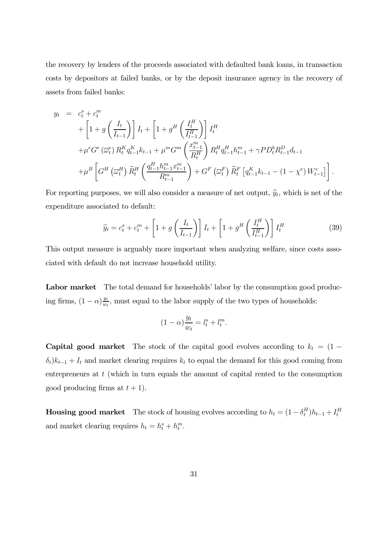the recovery by lenders of the proceeds associated with defaulted bank loans, in transaction costs by depositors at failed banks, or by the deposit insurance agency in the recovery of assets from failed banks:

$$
y_{t} = c_{t}^{s} + c_{t}^{m}
$$
  
+  $\left[1 + g\left(\frac{I_{t}}{I_{t-1}}\right)\right]I_{t} + \left[1 + g^{H}\left(\frac{I_{t}^{H}}{I_{t-1}^{H}}\right)\right]I_{t}^{H}$   
+  $\mu^{e}G^{e}(\overline{\omega}_{t}^{e}) R_{t}^{K} q_{t-1}^{K} k_{t-1} + \mu^{m} G^{m}\left(\frac{x_{t-1}^{m}}{R_{t}^{H}}\right) R_{t}^{H} q_{t-1}^{H} h_{t-1}^{m} + \gamma P D_{t}^{b} R_{t-1}^{D} d_{t-1}$   
+  $\mu^{B}\left[G^{H}\left(\overline{\omega}_{t}^{H}\right) \widetilde{R}_{t}^{H}\left(\frac{q_{t-1}^{H} h_{t-1}^{m} x_{t-1}^{m}}{R_{t-1}^{m}}\right) + G^{F}\left(\overline{\omega}_{t}^{F}\right) \widetilde{R}_{t}^{F}\left[q_{t-1}^{K} k_{t-1} - (1 - \chi^{e}) W_{t-1}^{e}\right]\right].$ 

For reporting purposes, we will also consider a measure of net output,  $\tilde{y}_t$ , which is net of the expenditure associated to default:

$$
\widetilde{y}_t = c_t^s + c_t^m + \left[1 + g\left(\frac{I_t}{I_{t-1}}\right)\right]I_t + \left[1 + g^H\left(\frac{I_t^H}{I_{t-1}^H}\right)\right]I_t^H
$$
\n(39)

This output measure is arguably more important when analyzing welfare, since costs associated with default do not increase household utility.

Labor market The total demand for households' labor by the consumption good producing firms,  $(1 - \alpha) \frac{y_t}{w_t}$ , must equal to the labor supply of the two types of households:

$$
(1 - \alpha) \frac{y_t}{w_t} = l_t^s + l_t^m.
$$

**Capital good market** The stock of the capital good evolves according to  $k_t = (1 \delta_t$ ) $k_{t-1}$  +  $I_t$  and market clearing requires  $k_t$  to equal the demand for this good coming from entrepreneurs at t (which in turn equals the amount of capital rented to the consumption good producing firms at  $t + 1$ ).

**Housing good market** The stock of housing evolves according to  $h_t = (1 - \delta_t^H)h_{t-1} + I_t^H$ and market clearing requires  $h_t = h_t^s + h_t^m$ .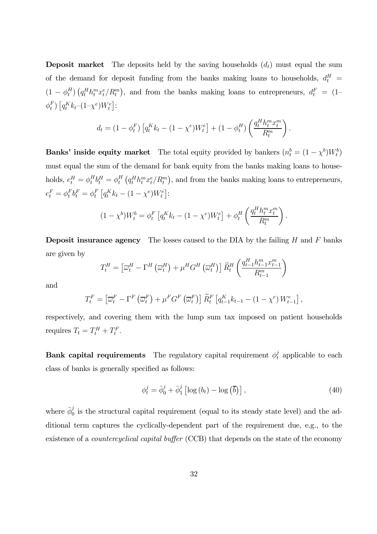**Deposit market** The deposits held by the saving households  $(d_t)$  must equal the sum of the demand for deposit funding from the banks making loans to households,  $d_t^H$  =  $(1 - \phi_t^H) \left( q_t^H h_t^m x_t^e / R_t^m \right)$ , and from the banks making loans to entrepreneurs,  $d_t^F = (1 - \phi_t^H)$  $\phi_t^F$ )  $[q_t^K k_t - (1 - \chi^e) W_t^e]$ :

$$
d_t = (1 - \phi_t^F) \left[ q_t^K k_t - (1 - \chi^e) W_t^e \right] + (1 - \phi_t^H) \left( \frac{q_t^H h_t^m x_t^m}{R_t^m} \right)
$$

.

**Banks' inside equity market** The total equity provided by bankers  $(n_t^b = (1 - \chi^b)W_t^b)$ must equal the sum of the demand for bank equity from the banks making loans to households,  $e_t^H = \phi_t^H b_t^H = \phi_t^H (q_t^H h_t^m x_t^e / R_t^m)$ , and from the banks making loans to entrepreneurs,  $e_t^F = \phi_t^F b_t^F = \phi_t^F \left[ q_t^K k_t - (1 - \chi^e) W_t^e \right]$ :

$$
(1 - \chi^b)W_t^b = \phi_t^F \left[ q_t^K k_t - (1 - \chi^e) W_t^e \right] + \phi_t^H \left( \frac{q_t^H h_t^m x_t^m}{R_t^m} \right).
$$

**Deposit insurance agency** The losses caused to the DIA by the failing  $H$  and  $F$  banks are given by

$$
T_t^H = \left[\overline{\omega}_t^H - \Gamma^H \left(\overline{\omega}_t^H\right) + \mu^H G^H \left(\overline{\omega}_t^H\right)\right] \widetilde{R}_t^H \left(\frac{q_{t-1}^H h_{t-1}^m x_{t-1}^m}{R_{t-1}^m}\right)
$$

and

$$
T_t^F = \left[\overline{\omega}_t^F - \Gamma^F\left(\overline{\omega}_t^F\right) + \mu^F G^F\left(\overline{\omega}_t^F\right)\right] \widetilde{R}_t^F \left[q_{t-1}^K k_{t-1} - (1 - \chi^e) W_{t-1}^e\right],
$$

respectively, and covering them with the lump sum tax imposed on patient households requires  $T_t = T_t^H + T_t^F$ .

Bank capital requirements The regulatory capital requirement  $\phi_t^j$  applicable to each class of banks is generally specified as follows:

$$
\phi_t^j = \bar{\phi}_0^j + \bar{\phi}_1^j \left[ \log \left( b_t \right) - \log \left( \bar{b} \right) \right],\tag{40}
$$

where  $\bar{\phi}_0^j$  is the structural capital requirement (equal to its steady state level) and the additional term captures the cyclically-dependent part of the requirement due, e.g., to the existence of a *countercyclical capital buffer* (CCB) that depends on the state of the economy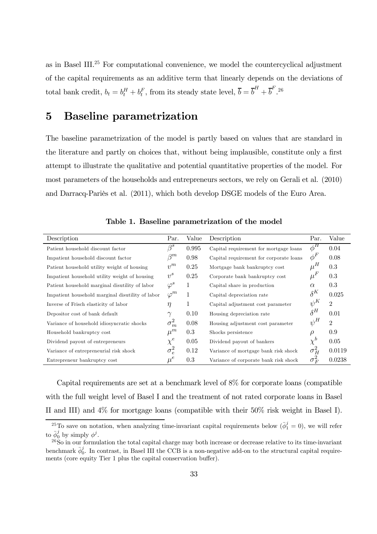as in Basel III.25 For computational convenience, we model the countercyclical adjustment of the capital requirements as an additive term that linearly depends on the deviations of total bank credit,  $b_t = b_t^H + b_t^F$ , from its steady state level,  $\overline{b} = \overline{b}^H + \overline{b}^F$ .<sup>26</sup>

## 5 Baseline parametrization

The baseline parametrization of the model is partly based on values that are standard in the literature and partly on choices that, without being implausible, constitute only a first attempt to illustrate the qualitative and potential quantitative properties of the model. For most parameters of the households and entrepreneurs sectors, we rely on Gerali et al. (2010) and Darracq-Pariès et al. (2011), which both develop DSGE models of the Euro Area.

| Description                                      | Par.         | Value | Description                             | Par.           | Value          |
|--------------------------------------------------|--------------|-------|-----------------------------------------|----------------|----------------|
| Patient household discount factor                | $\beta^s$    | 0.995 | Capital requirement for mortgage loans  | $\bar{\phi}^H$ | 0.04           |
| Impatient household discount factor              | $\beta^m$    | 0.98  | Capital requirement for corporate loans | $\phi^F$       | 0.08           |
| Patient household utility weight of housing      | $v^m$        | 0.25  | Mortgage bank bankruptcy cost           | $\mu^H$        | 0.3            |
| Impatient household utility weight of housing    | $v^s$        | 0.25  | Corporate bank bankruptcy cost          | $\mu^F$        | 0.3            |
| Patient household marginal disutility of labor   | $\varphi^s$  | 1     | Capital share in production             | $\alpha$       | 0.3            |
| Impatient household marginal disutility of labor | $\varphi^m$  | 1     | Capital depreciation rate               | $\delta^K$     | 0.025          |
| Inverse of Frisch elasticity of labor            | $\eta$       | 1     | Capital adjustment cost parameter       | $\psi^K$       | $\overline{2}$ |
| Depositor cost of bank default                   | $\gamma$     | 0.10  | Housing depreciation rate               | $\delta^H$     | 0.01           |
| Variance of household idiosyncratic shocks       | $\sigma_m^2$ | 0.08  | Housing adjustment cost parameter       | $\psi^H$       | $\overline{2}$ |
| Household bankruptcy cost                        | $\mu^m$      | 0.3   | Shocks persistence                      | $\rho$         | 0.9            |
| Dividend payout of entrepreneurs                 | $\chi^e$     | 0.05  | Dividend payout of bankers              | $\chi^b$       | 0.05           |
| Variance of entrepreneurial risk shock           | $\sigma_e^2$ | 0.12  | Variance of mortgage bank risk shock    | $\sigma_H^2$   | 0.0119         |
| Entrepreneur bankruptcy cost                     | $\mu^e$      | 0.3   | Variance of corporate bank risk shock   | $\sigma_F^2$   | 0.0238         |

Table 1. Baseline parametrization of the model

Capital requirements are set at a benchmark level of 8% for corporate loans (compatible with the full weight level of Basel I and the treatment of not rated corporate loans in Basel II and III) and 4% for mortgage loans (compatible with their 50% risk weight in Basel I).

<sup>&</sup>lt;sup>25</sup>To save on notation, when analyzing time-invariant capital requirements below  $(\bar{\phi}_1^j = 0)$ , we will refer to  $\bar{\phi}_0^j$  by simply  $\phi^j$ .

 $^{26}$ So in our formulation the total capital charge may both increase or decrease relative to its time-invariant benchmark  $\bar{\phi}_0^j$ . In contrast, in Basel III the CCB is a non-negative add-on to the structural capital requirements (core equity Tier 1 plus the capital conservation buffer).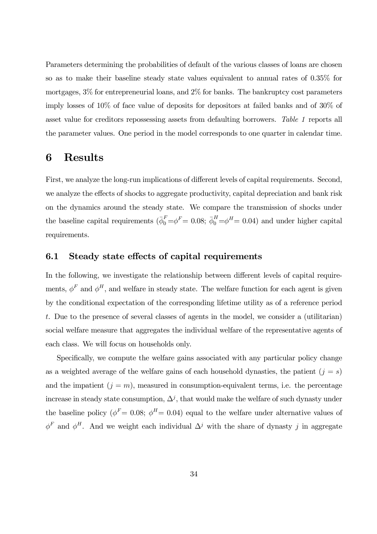Parameters determining the probabilities of default of the various classes of loans are chosen so as to make their baseline steady state values equivalent to annual rates of 0.35% for mortgages, 3% for entrepreneurial loans, and 2% for banks. The bankruptcy cost parameters imply losses of 10% of face value of deposits for depositors at failed banks and of 30% of asset value for creditors repossessing assets from defaulting borrowers. Table 1 reports all the parameter values. One period in the model corresponds to one quarter in calendar time.

### 6 Results

First, we analyze the long-run implications of different levels of capital requirements. Second, we analyze the effects of shocks to aggregate productivity, capital depreciation and bank risk on the dynamics around the steady state. We compare the transmission of shocks under the baseline capital requirements  $(\bar{\phi}_0^F = \phi^F = 0.08; \bar{\phi}_0^H = \phi^H = 0.04)$  and under higher capital requirements.

#### 6.1 Steady state effects of capital requirements

In the following, we investigate the relationship between different levels of capital requirements,  $\phi^F$  and  $\phi^H$ , and welfare in steady state. The welfare function for each agent is given by the conditional expectation of the corresponding lifetime utility as of a reference period t. Due to the presence of several classes of agents in the model, we consider a (utilitarian) social welfare measure that aggregates the individual welfare of the representative agents of each class. We will focus on households only.

Specifically, we compute the welfare gains associated with any particular policy change as a weighted average of the welfare gains of each household dynasties, the patient  $(j = s)$ and the impatient  $(j = m)$ , measured in consumption-equivalent terms, i.e. the percentage increase in steady state consumption,  $\Delta^{j}$ , that would make the welfare of such dynasty under the baseline policy ( $\phi^F = 0.08$ ;  $\phi^H = 0.04$ ) equal to the welfare under alternative values of  $\phi^F$  and  $\phi^H$ . And we weight each individual  $\Delta^j$  with the share of dynasty j in aggregate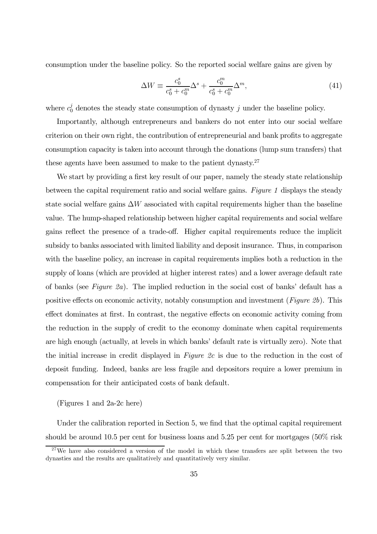consumption under the baseline policy. So the reported social welfare gains are given by

$$
\Delta W \equiv \frac{c_0^s}{c_0^s + c_0^m} \Delta^s + \frac{c_0^m}{c_0^s + c_0^m} \Delta^m,\tag{41}
$$

where  $c_0^j$  denotes the steady state consumption of dynasty j under the baseline policy.

Importantly, although entrepreneurs and bankers do not enter into our social welfare criterion on their own right, the contribution of entrepreneurial and bank profits to aggregate consumption capacity is taken into account through the donations (lump sum transfers) that these agents have been assumed to make to the patient dynasty.<sup>27</sup>

We start by providing a first key result of our paper, namely the steady state relationship between the capital requirement ratio and social welfare gains. Figure 1 displays the steady state social welfare gains  $\Delta W$  associated with capital requirements higher than the baseline value. The hump-shaped relationship between higher capital requirements and social welfare gains reflect the presence of a trade-off. Higher capital requirements reduce the implicit subsidy to banks associated with limited liability and deposit insurance. Thus, in comparison with the baseline policy, an increase in capital requirements implies both a reduction in the supply of loans (which are provided at higher interest rates) and a lower average default rate of banks (see Figure 2a). The implied reduction in the social cost of banks' default has a positive effects on economic activity, notably consumption and investment (Figure 2b). This effect dominates at first. In contrast, the negative effects on economic activity coming from the reduction in the supply of credit to the economy dominate when capital requirements are high enough (actually, at levels in which banks' default rate is virtually zero). Note that the initial increase in credit displayed in Figure 2c is due to the reduction in the cost of deposit funding. Indeed, banks are less fragile and depositors require a lower premium in compensation for their anticipated costs of bank default.

(Figures 1 and 2a-2c here)

Under the calibration reported in Section 5, we find that the optimal capital requirement should be around 10.5 per cent for business loans and 5.25 per cent for mortgages (50% risk

<sup>&</sup>lt;sup>27</sup>We have also considered a version of the model in which these transfers are split between the two dynasties and the results are qualitatively and quantitatively very similar.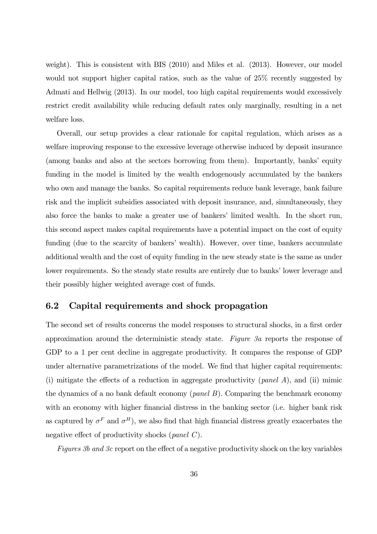weight). This is consistent with BIS (2010) and Miles et al. (2013). However, our model would not support higher capital ratios, such as the value of 25% recently suggested by Admati and Hellwig (2013). In our model, too high capital requirements would excessively restrict credit availability while reducing default rates only marginally, resulting in a net welfare loss.

Overall, our setup provides a clear rationale for capital regulation, which arises as a welfare improving response to the excessive leverage otherwise induced by deposit insurance (among banks and also at the sectors borrowing from them). Importantly, banks' equity funding in the model is limited by the wealth endogenously accumulated by the bankers who own and manage the banks. So capital requirements reduce bank leverage, bank failure risk and the implicit subsidies associated with deposit insurance, and, simultaneously, they also force the banks to make a greater use of bankers' limited wealth. In the short run, this second aspect makes capital requirements have a potential impact on the cost of equity funding (due to the scarcity of bankers' wealth). However, over time, bankers accumulate additional wealth and the cost of equity funding in the new steady state is the same as under lower requirements. So the steady state results are entirely due to banks' lower leverage and their possibly higher weighted average cost of funds.

#### 6.2 Capital requirements and shock propagation

The second set of results concerns the model responses to structural shocks, in a first order approximation around the deterministic steady state. Figure 3a reports the response of GDP to a 1 per cent decline in aggregate productivity. It compares the response of GDP under alternative parametrizations of the model. We find that higher capital requirements: (i) mitigate the effects of a reduction in aggregate productivity (*panel A*), and (ii) mimic the dynamics of a no bank default economy (*panel B*). Comparing the benchmark economy with an economy with higher financial distress in the banking sector (i.e. higher bank risk as captured by  $\sigma^F$  and  $\sigma^H$ ), we also find that high financial distress greatly exacerbates the negative effect of productivity shocks (panel C).

Figures 3b and 3c report on the effect of a negative productivity shock on the key variables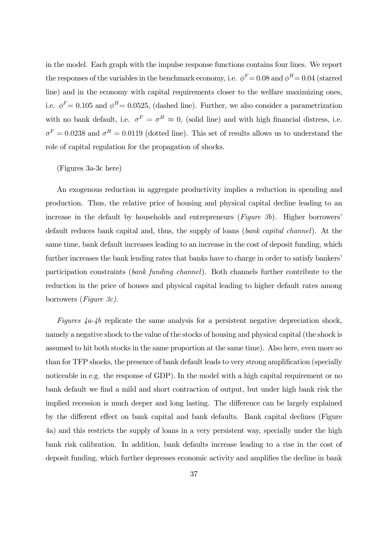in the model. Each graph with the impulse response functions contains four lines. We report the responses of the variables in the benchmark economy, i.e.  $\phi^F = 0.08$  and  $\phi^H = 0.04$  (starred line) and in the economy with capital requirements closer to the welfare maximizing ones, i.e.  $\phi^F= 0.105$  and  $\phi^H= 0.0525$ , (dashed line). Further, we also consider a parametrization with no bank default, i.e.  $\sigma^F = \sigma^H \approx 0$ , (solid line) and with high financial distress, i.e.  $\sigma^F = 0.0238$  and  $\sigma^H = 0.0119$  (dotted line). This set of results allows us to understand the role of capital regulation for the propagation of shocks.

#### (Figures 3a-3c here)

An exogenous reduction in aggregate productivity implies a reduction in spending and production. Thus, the relative price of housing and physical capital decline leading to an increase in the default by households and entrepreneurs (Figure 3b). Higher borrowers' default reduces bank capital and, thus, the supply of loans (bank capital channel). At the same time, bank default increases leading to an increase in the cost of deposit funding, which further increases the bank lending rates that banks have to charge in order to satisfy bankers' participation constraints (bank funding channel). Both channels further contribute to the reduction in the price of houses and physical capital leading to higher default rates among borrowers (Figure 3c).

Figures  $4a-4b$  replicate the same analysis for a persistent negative depreciation shock, namely a negative shock to the value of the stocks of housing and physical capital (the shock is assumed to hit both stocks in the same proportion at the same time). Also here, even more so than for TFP shocks, the presence of bank default leads to very strong amplification (specially noticeable in e.g. the response of GDP). In the model with a high capital requirement or no bank default we find a mild and short contraction of output, but under high bank risk the implied recession is much deeper and long lasting. The difference can be largely explained by the different effect on bank capital and bank defaults. Bank capital declines (Figure 4a) and this restricts the supply of loans in a very persistent way, specially under the high bank risk calibration. In addition, bank defaults increase leading to a rise in the cost of deposit funding, which further depresses economic activity and amplifies the decline in bank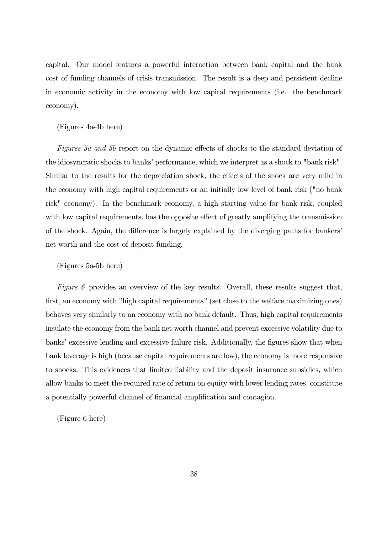capital. Our model features a powerful interaction between bank capital and the bank cost of funding channels of crisis transmission. The result is a deep and persistent decline in economic activity in the economy with low capital requirements (i.e. the benchmark economy).

#### (Figures 4a-4b here)

Figures 5a and 5b report on the dynamic effects of shocks to the standard deviation of the idiosyncratic shocks to banks' performance, which we interpret as a shock to "bank risk". Similar to the results for the depreciation shock, the effects of the shock are very mild in the economy with high capital requirements or an initially low level of bank risk ("no bank risk" economy). In the benchmark economy, a high starting value for bank risk, coupled with low capital requirements, has the opposite effect of greatly amplifying the transmission of the shock. Again, the difference is largely explained by the diverging paths for bankers' net worth and the cost of deposit funding.

#### (Figures 5a-5b here)

Figure 6 provides an overview of the key results. Overall, these results suggest that, first, an economy with "high capital requirements" (set close to the welfare maximizing ones) behaves very similarly to an economy with no bank default. Thus, high capital requirements insulate the economy from the bank net worth channel and prevent excessive volatility due to banks' excessive lending and excessive failure risk. Additionally, the figures show that when bank leverage is high (because capital requirements are low), the economy is more responsive to shocks. This evidences that limited liability and the deposit insurance subsidies, which allow banks to meet the required rate of return on equity with lower lending rates, constitute a potentially powerful channel of financial amplification and contagion.

(Figure 6 here)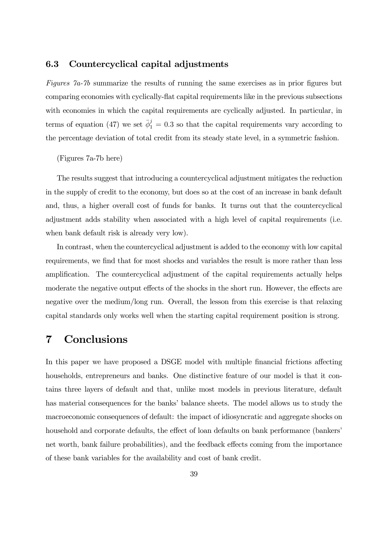#### 6.3 Countercyclical capital adjustments

Figures 7a-7b summarize the results of running the same exercises as in prior figures but comparing economies with cyclically-flat capital requirements like in the previous subsections with economies in which the capital requirements are cyclically adjusted. In particular, in terms of equation (47) we set  $\bar{\phi}_1^j = 0.3$  so that the capital requirements vary according to the percentage deviation of total credit from its steady state level, in a symmetric fashion.

(Figures 7a-7b here)

The results suggest that introducing a countercyclical adjustment mitigates the reduction in the supply of credit to the economy, but does so at the cost of an increase in bank default and, thus, a higher overall cost of funds for banks. It turns out that the countercyclical adjustment adds stability when associated with a high level of capital requirements (i.e. when bank default risk is already very low).

In contrast, when the countercyclical adjustment is added to the economy with low capital requirements, we find that for most shocks and variables the result is more rather than less amplification. The countercyclical adjustment of the capital requirements actually helps moderate the negative output effects of the shocks in the short run. However, the effects are negative over the medium/long run. Overall, the lesson from this exercise is that relaxing capital standards only works well when the starting capital requirement position is strong.

## 7 Conclusions

In this paper we have proposed a DSGE model with multiple financial frictions affecting households, entrepreneurs and banks. One distinctive feature of our model is that it contains three layers of default and that, unlike most models in previous literature, default has material consequences for the banks' balance sheets. The model allows us to study the macroeconomic consequences of default: the impact of idiosyncratic and aggregate shocks on household and corporate defaults, the effect of loan defaults on bank performance (bankers' net worth, bank failure probabilities), and the feedback effects coming from the importance of these bank variables for the availability and cost of bank credit.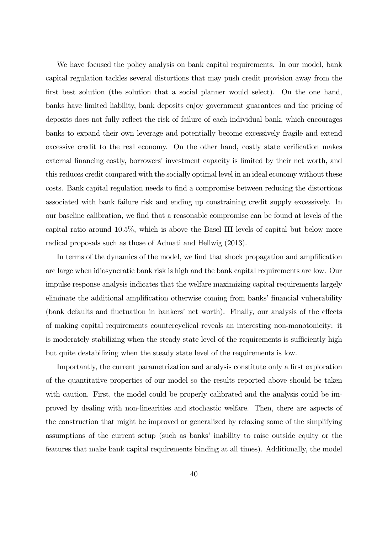We have focused the policy analysis on bank capital requirements. In our model, bank capital regulation tackles several distortions that may push credit provision away from the first best solution (the solution that a social planner would select). On the one hand, banks have limited liability, bank deposits enjoy government guarantees and the pricing of deposits does not fully reflect the risk of failure of each individual bank, which encourages banks to expand their own leverage and potentially become excessively fragile and extend excessive credit to the real economy. On the other hand, costly state verification makes external financing costly, borrowers' investment capacity is limited by their net worth, and this reduces credit compared with the socially optimal level in an ideal economy without these costs. Bank capital regulation needs to find a compromise between reducing the distortions associated with bank failure risk and ending up constraining credit supply excessively. In our baseline calibration, we find that a reasonable compromise can be found at levels of the capital ratio around 10.5%, which is above the Basel III levels of capital but below more radical proposals such as those of Admati and Hellwig (2013).

In terms of the dynamics of the model, we find that shock propagation and amplification are large when idiosyncratic bank risk is high and the bank capital requirements are low. Our impulse response analysis indicates that the welfare maximizing capital requirements largely eliminate the additional amplification otherwise coming from banks' financial vulnerability (bank defaults and fluctuation in bankers' net worth). Finally, our analysis of the effects of making capital requirements countercyclical reveals an interesting non-monotonicity: it is moderately stabilizing when the steady state level of the requirements is sufficiently high but quite destabilizing when the steady state level of the requirements is low.

Importantly, the current parametrization and analysis constitute only a first exploration of the quantitative properties of our model so the results reported above should be taken with caution. First, the model could be properly calibrated and the analysis could be improved by dealing with non-linearities and stochastic welfare. Then, there are aspects of the construction that might be improved or generalized by relaxing some of the simplifying assumptions of the current setup (such as banks' inability to raise outside equity or the features that make bank capital requirements binding at all times). Additionally, the model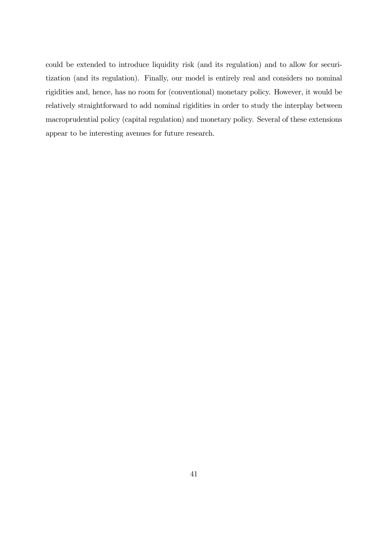could be extended to introduce liquidity risk (and its regulation) and to allow for securitization (and its regulation). Finally, our model is entirely real and considers no nominal rigidities and, hence, has no room for (conventional) monetary policy. However, it would be relatively straightforward to add nominal rigidities in order to study the interplay between macroprudential policy (capital regulation) and monetary policy. Several of these extensions appear to be interesting avenues for future research.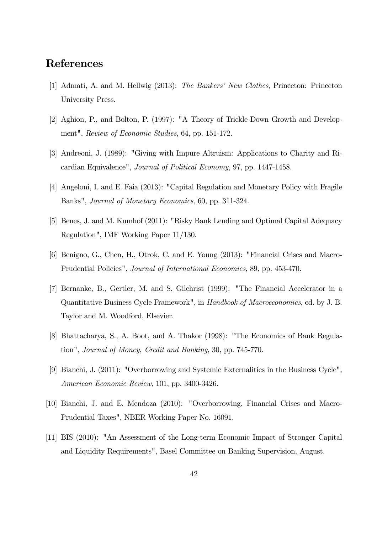## References

- [1] Admati, A. and M. Hellwig (2013): The Bankers' New Clothes, Princeton: Princeton University Press.
- [2] Aghion, P., and Bolton, P. (1997): "A Theory of Trickle-Down Growth and Development", Review of Economic Studies, 64, pp. 151-172.
- [3] Andreoni, J. (1989): "Giving with Impure Altruism: Applications to Charity and Ricardian Equivalence", Journal of Political Economy, 97, pp. 1447-1458.
- [4] Angeloni, I. and E. Faia (2013): "Capital Regulation and Monetary Policy with Fragile Banks", Journal of Monetary Economics, 60, pp. 311-324.
- [5] Benes, J. and M. Kumhof (2011): "Risky Bank Lending and Optimal Capital Adequacy Regulation", IMF Working Paper 11/130.
- [6] Benigno, G., Chen, H., Otrok, C. and E. Young (2013): "Financial Crises and Macro-Prudential Policies", Journal of International Economics, 89, pp. 453-470.
- [7] Bernanke, B., Gertler, M. and S. Gilchrist (1999): "The Financial Accelerator in a Quantitative Business Cycle Framework", in Handbook of Macroeconomics, ed. by J. B. Taylor and M. Woodford, Elsevier.
- [8] Bhattacharya, S., A. Boot, and A. Thakor (1998): "The Economics of Bank Regulation", Journal of Money, Credit and Banking, 30, pp. 745-770.
- [9] Bianchi, J. (2011): "Overborrowing and Systemic Externalities in the Business Cycle", American Economic Review, 101, pp. 3400-3426.
- [10] Bianchi, J. and E. Mendoza (2010): "Overborrowing, Financial Crises and Macro-Prudential Taxes", NBER Working Paper No. 16091.
- [11] BIS (2010): "An Assessment of the Long-term Economic Impact of Stronger Capital and Liquidity Requirements", Basel Committee on Banking Supervision, August.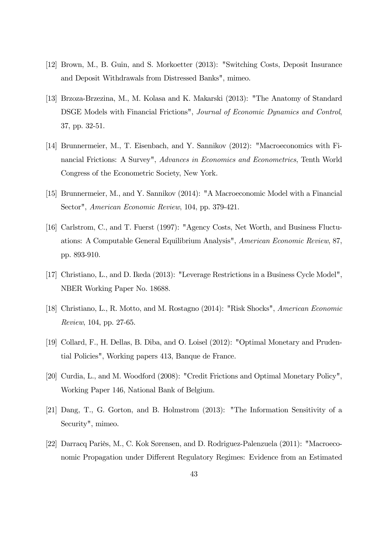- [12] Brown, M., B. Guin, and S. Morkoetter (2013): "Switching Costs, Deposit Insurance and Deposit Withdrawals from Distressed Banks", mimeo.
- [13] Brzoza-Brzezina, M., M. Kolasa and K. Makarski (2013): "The Anatomy of Standard DSGE Models with Financial Frictions", Journal of Economic Dynamics and Control, 37, pp. 32-51.
- [14] Brunnermeier, M., T. Eisenbach, and Y. Sannikov (2012): "Macroeconomics with Financial Frictions: A Survey", Advances in Economics and Econometrics, Tenth World Congress of the Econometric Society, New York.
- [15] Brunnermeier, M., and Y. Sannikov (2014): "A Macroeconomic Model with a Financial Sector", American Economic Review, 104, pp. 379-421.
- [16] Carlstrom, C., and T. Fuerst (1997): "Agency Costs, Net Worth, and Business Fluctuations: A Computable General Equilibrium Analysis", American Economic Review, 87, pp. 893-910.
- [17] Christiano, L., and D. Ikeda (2013): "Leverage Restrictions in a Business Cycle Model", NBER Working Paper No. 18688.
- [18] Christiano, L., R. Motto, and M. Rostagno (2014): "Risk Shocks", American Economic Review, 104, pp. 27-65.
- [19] Collard, F., H. Dellas, B. Diba, and O. Loisel (2012): "Optimal Monetary and Prudential Policies", Working papers 413, Banque de France.
- [20] Curdia, L., and M. Woodford (2008): "Credit Frictions and Optimal Monetary Policy", Working Paper 146, National Bank of Belgium.
- [21] Dang, T., G. Gorton, and B. Holmstrom (2013): "The Information Sensitivity of a Security", mimeo.
- [22] Darracq Pariès, M., C. Kok Sørensen, and D. Rodriguez-Palenzuela (2011): "Macroeconomic Propagation under Different Regulatory Regimes: Evidence from an Estimated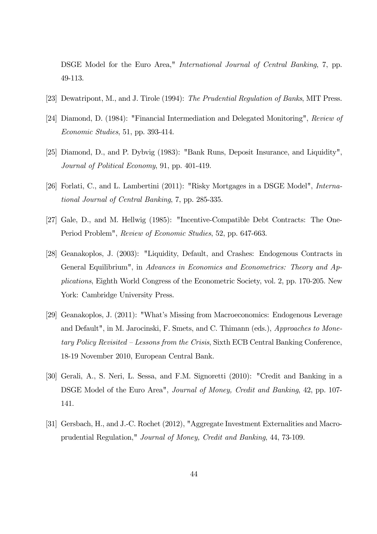DSGE Model for the Euro Area," International Journal of Central Banking, 7, pp. 49-113.

- [23] Dewatripont, M., and J. Tirole (1994): The Prudential Regulation of Banks, MIT Press.
- [24] Diamond, D. (1984): "Financial Intermediation and Delegated Monitoring", Review of Economic Studies, 51, pp. 393-414.
- [25] Diamond, D., and P. Dybvig (1983): "Bank Runs, Deposit Insurance, and Liquidity", Journal of Political Economy, 91, pp. 401-419.
- [26] Forlati, C., and L. Lambertini (2011): "Risky Mortgages in a DSGE Model", *Interna*tional Journal of Central Banking, 7, pp. 285-335.
- [27] Gale, D., and M. Hellwig (1985): "Incentive-Compatible Debt Contracts: The One-Period Problem", Review of Economic Studies, 52, pp. 647-663.
- [28] Geanakoplos, J. (2003): "Liquidity, Default, and Crashes: Endogenous Contracts in General Equilibrium", in Advances in Economics and Econometrics: Theory and Applications, Eighth World Congress of the Econometric Society, vol. 2, pp. 170-205. New York: Cambridge University Press.
- [29] Geanakoplos, J. (2011): "What's Missing from Macroeconomics: Endogenous Leverage and Default", in M. Jarocinski, F. Smets, and C. Thimann (eds.), Approaches to Monetary Policy Revisited — Lessons from the Crisis, Sixth ECB Central Banking Conference, 18-19 November 2010, European Central Bank.
- [30] Gerali, A., S. Neri, L. Sessa, and F.M. Signoretti (2010): "Credit and Banking in a DSGE Model of the Euro Area", Journal of Money, Credit and Banking, 42, pp. 107- 141.
- [31] Gersbach, H., and J.-C. Rochet (2012), "Aggregate Investment Externalities and Macroprudential Regulation," Journal of Money, Credit and Banking, 44, 73-109.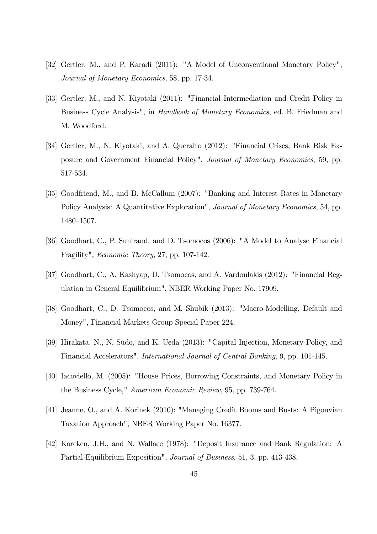- [32] Gertler, M., and P. Karadi (2011): "A Model of Unconventional Monetary Policy", Journal of Monetary Economics, 58, pp. 17-34.
- [33] Gertler, M., and N. Kiyotaki (2011): "Financial Intermediation and Credit Policy in Business Cycle Analysis", in Handbook of Monetary Economics, ed. B. Friedman and M. Woodford.
- [34] Gertler, M., N. Kiyotaki, and A. Queralto (2012): "Financial Crises, Bank Risk Exposure and Government Financial Policy", Journal of Monetary Economics, 59, pp. 517-534.
- [35] Goodfriend, M., and B. McCallum (2007): "Banking and Interest Rates in Monetary Policy Analysis: A Quantitative Exploration", Journal of Monetary Economics, 54, pp. 1480—1507.
- [36] Goodhart, C., P. Sunirand, and D. Tsomocos (2006): "A Model to Analyse Financial Fragility", Economic Theory, 27, pp. 107-142.
- [37] Goodhart, C., A. Kashyap, D. Tsomocos, and A. Vardoulakis (2012): "Financial Regulation in General Equilibrium", NBER Working Paper No. 17909.
- [38] Goodhart, C., D. Tsomocos, and M. Shubik (2013): "Macro-Modelling, Default and Money", Financial Markets Group Special Paper 224.
- [39] Hirakata, N., N. Sudo, and K. Ueda (2013): "Capital Injection, Monetary Policy, and Financial Accelerators", International Journal of Central Banking, 9, pp. 101-145.
- [40] Iacoviello, M. (2005): "House Prices, Borrowing Constraints, and Monetary Policy in the Business Cycle," American Economic Review, 95, pp. 739-764.
- [41] Jeanne, O., and A. Korinek (2010): "Managing Credit Booms and Busts: A Pigouvian Taxation Approach", NBER Working Paper No. 16377.
- [42] Kareken, J.H., and N. Wallace (1978): "Deposit Insurance and Bank Regulation: A Partial-Equilibrium Exposition", Journal of Business, 51, 3, pp. 413-438.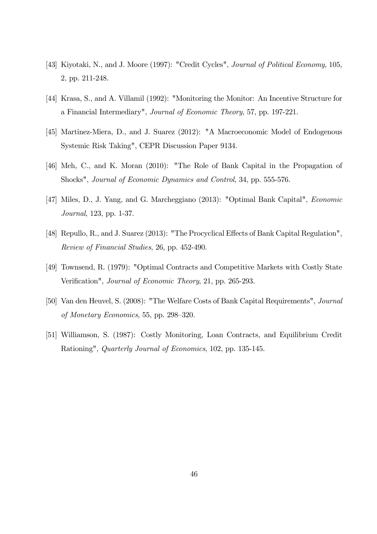- [43] Kiyotaki, N., and J. Moore (1997): "Credit Cycles", *Journal of Political Economy*, 105, 2, pp. 211-248.
- [44] Krasa, S., and A. Villamil (1992): "Monitoring the Monitor: An Incentive Structure for a Financial Intermediary", Journal of Economic Theory, 57, pp. 197-221.
- [45] Martinez-Miera, D., and J. Suarez (2012): "A Macroeconomic Model of Endogenous Systemic Risk Taking", CEPR Discussion Paper 9134.
- [46] Meh, C., and K. Moran (2010): "The Role of Bank Capital in the Propagation of Shocks", Journal of Economic Dynamics and Control, 34, pp. 555-576.
- [47] Miles, D., J. Yang, and G. Marcheggiano (2013): "Optimal Bank Capital", Economic Journal, 123, pp. 1-37.
- [48] Repullo, R., and J. Suarez (2013): "The Procyclical Effects of Bank Capital Regulation", Review of Financial Studies, 26, pp. 452-490.
- [49] Townsend, R. (1979): "Optimal Contracts and Competitive Markets with Costly State Verification", Journal of Economic Theory, 21, pp. 265-293.
- [50] Van den Heuvel, S. (2008): "The Welfare Costs of Bank Capital Requirements", Journal of Monetary Economics, 55, pp. 298—320.
- [51] Williamson, S. (1987): Costly Monitoring, Loan Contracts, and Equilibrium Credit Rationing", Quarterly Journal of Economics, 102, pp. 135-145.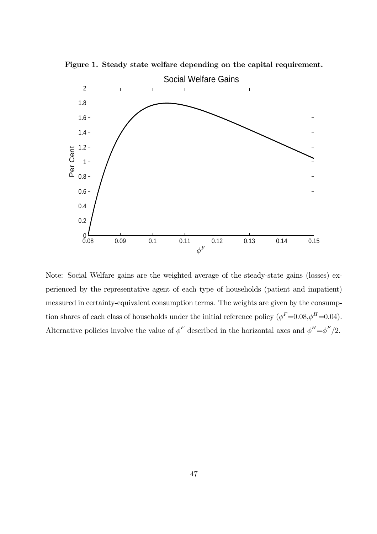

Figure 1. Steady state welfare depending on the capital requirement.

Note: Social Welfare gains are the weighted average of the steady-state gains (losses) experienced by the representative agent of each type of households (patient and impatient) measured in certainty-equivalent consumption terms. The weights are given by the consumption shares of each class of households under the initial reference policy  $(\phi^F=0.08, \phi^H=0.04)$ . Alternative policies involve the value of  $\phi^F$  described in the horizontal axes and  $\phi^H = \phi^F/2$ .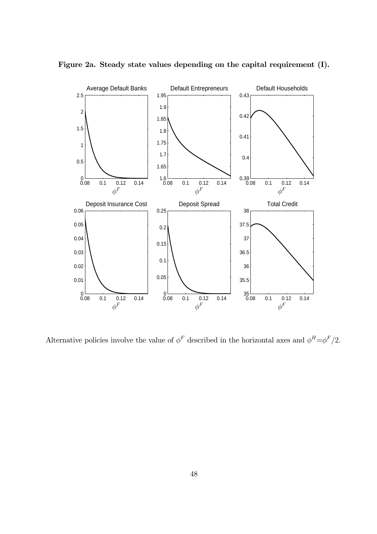

Figure 2a. Steady state values depending on the capital requirement (I).

Alternative policies involve the value of  $\phi^F$  described in the horizontal axes and  $\phi^H = \phi^F/2$ .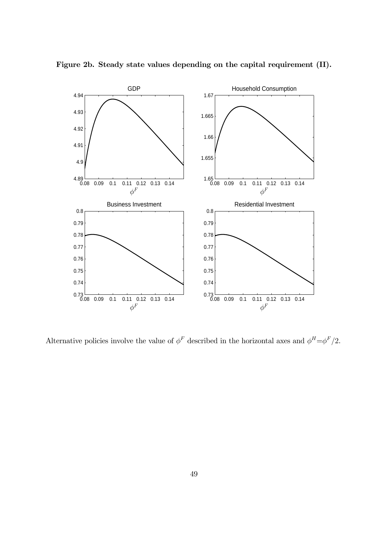

Figure 2b. Steady state values depending on the capital requirement (II).

Alternative policies involve the value of  $\phi^F$  described in the horizontal axes and  $\phi^H = \phi^F/2$ .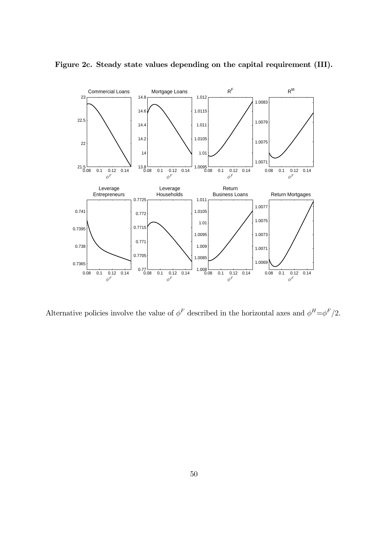

Figure 2c. Steady state values depending on the capital requirement (III).

Alternative policies involve the value of  $\phi^F$  described in the horizontal axes and  $\phi^H = \phi^F/2$ .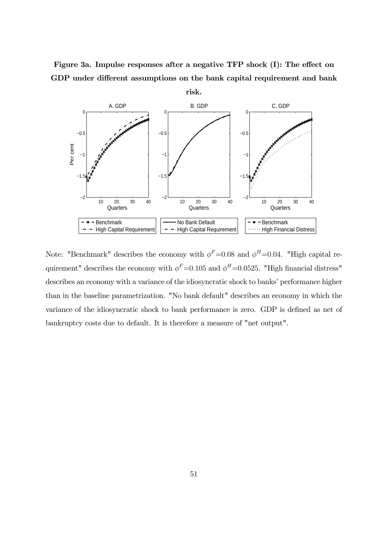Figure 3a. Impulse responses after a negative TFP shock (I): The effect on GDP under different assumptions on the bank capital requirement and bank



Note: "Benchmark" describes the economy with  $\phi^F=0.08$  and  $\phi^H=0.04$ . "High capital requirement" describes the economy with  $\phi^F=0.105$  and  $\phi^H=0.0525$ . "High financial distress" describes an economy with a variance of the idiosyncratic shock to banks' performance higher than in the baseline parametrization. "No bank default" describes an economy in which the variance of the idiosyncratic shock to bank performance is zero. GDP is defined as net of bankruptcy costs due to default. It is therefore a measure of "net output".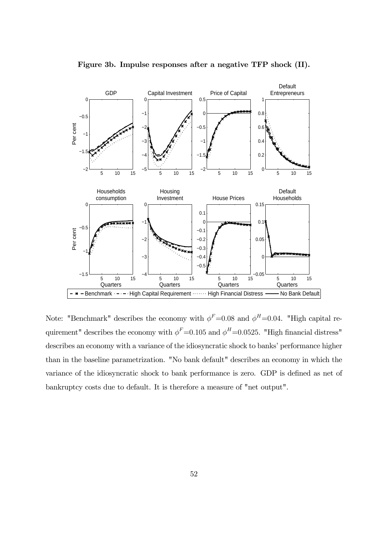

Figure 3b. Impulse responses after a negative TFP shock (II).

Note: "Benchmark" describes the economy with  $\phi^F=0.08$  and  $\phi^H=0.04$ . "High capital requirement" describes the economy with  $\phi^F$ =0.105 and  $\phi^H$ =0.0525. "High financial distress" describes an economy with a variance of the idiosyncratic shock to banks' performance higher than in the baseline parametrization. "No bank default" describes an economy in which the variance of the idiosyncratic shock to bank performance is zero. GDP is defined as net of bankruptcy costs due to default. It is therefore a measure of "net output".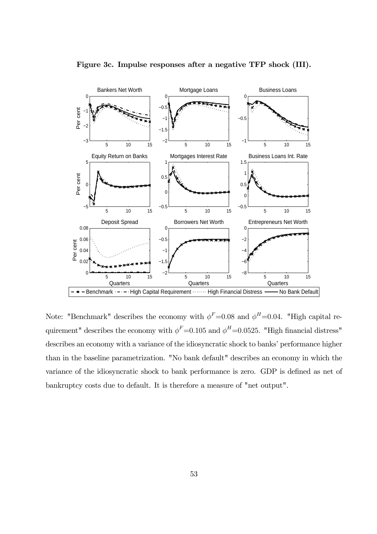

Figure 3c. Impulse responses after a negative TFP shock (III).

Note: "Benchmark" describes the economy with  $\phi^F=0.08$  and  $\phi^H=0.04$ . "High capital requirement" describes the economy with  $\phi^F=0.105$  and  $\phi^H=0.0525$ . "High financial distress" describes an economy with a variance of the idiosyncratic shock to banks' performance higher than in the baseline parametrization. "No bank default" describes an economy in which the variance of the idiosyncratic shock to bank performance is zero. GDP is defined as net of bankruptcy costs due to default. It is therefore a measure of "net output".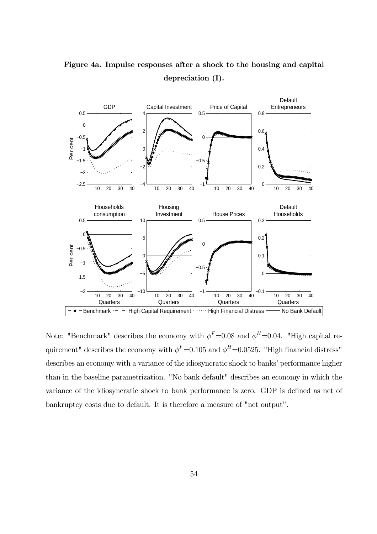

Figure 4a. Impulse responses after a shock to the housing and capital depreciation (I).

Note: "Benchmark" describes the economy with  $\phi^F=0.08$  and  $\phi^H=0.04$ . "High capital requirement" describes the economy with  $\phi^F=0.105$  and  $\phi^H=0.0525$ . "High financial distress" describes an economy with a variance of the idiosyncratic shock to banks' performance higher than in the baseline parametrization. "No bank default" describes an economy in which the variance of the idiosyncratic shock to bank performance is zero. GDP is defined as net of bankruptcy costs due to default. It is therefore a measure of "net output".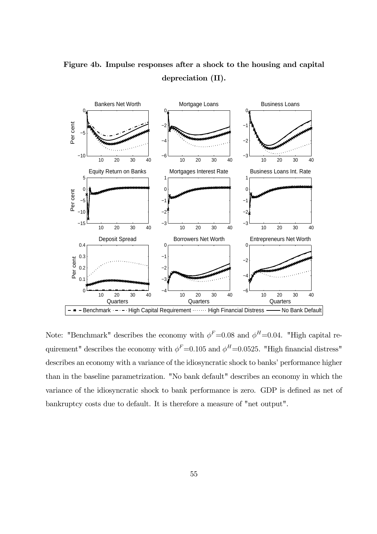

Figure 4b. Impulse responses after a shock to the housing and capital depreciation (II).

Note: "Benchmark" describes the economy with  $\phi^F=0.08$  and  $\phi^H=0.04$ . "High capital requirement" describes the economy with  $\phi^F=0.105$  and  $\phi^H=0.0525$ . "High financial distress" describes an economy with a variance of the idiosyncratic shock to banks' performance higher than in the baseline parametrization. "No bank default" describes an economy in which the variance of the idiosyncratic shock to bank performance is zero. GDP is defined as net of bankruptcy costs due to default. It is therefore a measure of "net output".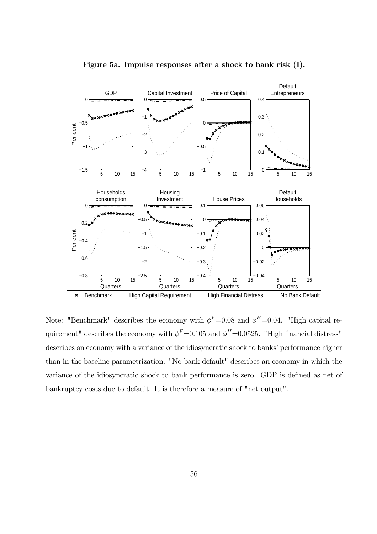

Figure 5a. Impulse responses after a shock to bank risk (I).

Note: "Benchmark" describes the economy with  $\phi^F=0.08$  and  $\phi^H=0.04$ . "High capital requirement" describes the economy with  $\phi^F=0.105$  and  $\phi^H=0.0525$ . "High financial distress" describes an economy with a variance of the idiosyncratic shock to banks' performance higher than in the baseline parametrization. "No bank default" describes an economy in which the variance of the idiosyncratic shock to bank performance is zero. GDP is defined as net of bankruptcy costs due to default. It is therefore a measure of "net output".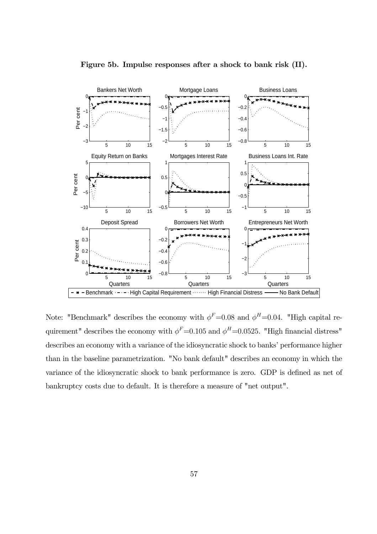

Figure 5b. Impulse responses after a shock to bank risk (II).

Note: "Benchmark" describes the economy with  $\phi^F=0.08$  and  $\phi^H=0.04$ . "High capital requirement" describes the economy with  $\phi^F$ =0.105 and  $\phi^H$ =0.0525. "High financial distress" describes an economy with a variance of the idiosyncratic shock to banks' performance higher than in the baseline parametrization. "No bank default" describes an economy in which the variance of the idiosyncratic shock to bank performance is zero. GDP is defined as net of bankruptcy costs due to default. It is therefore a measure of "net output".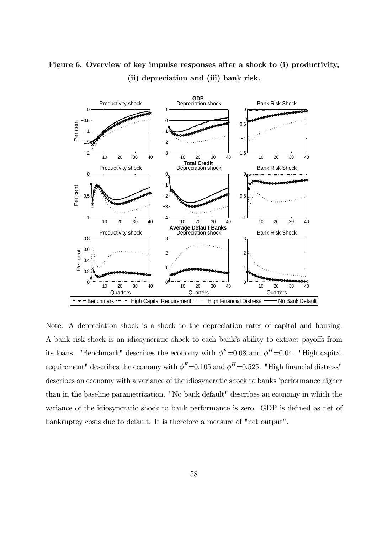

## Figure 6. Overview of key impulse responses after a shock to (i) productivity, (ii) depreciation and (iii) bank risk.

Note: A depreciation shock is a shock to the depreciation rates of capital and housing. A bank risk shock is an idiosyncratic shock to each bank's ability to extract payoffs from its loans. "Benchmark" describes the economy with  $\phi^F=0.08$  and  $\phi^H=0.04$ . "High capital requirement" describes the economy with  $\phi^F$ =0.105 and  $\phi^H$ =0.525. "High financial distress" describes an economy with a variance of the idiosyncratic shock to banks 'performance higher than in the baseline parametrization. "No bank default" describes an economy in which the variance of the idiosyncratic shock to bank performance is zero. GDP is defined as net of bankruptcy costs due to default. It is therefore a measure of "net output".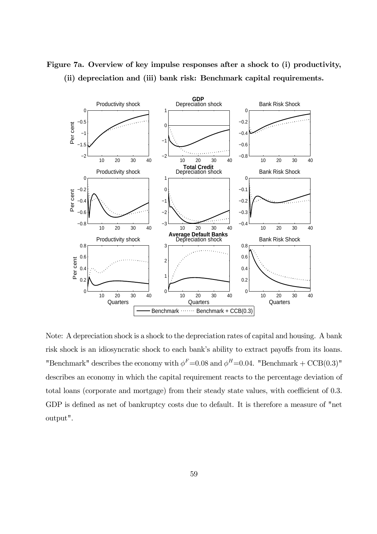

Figure 7a. Overview of key impulse responses after a shock to (i) productivity, (ii) depreciation and (iii) bank risk: Benchmark capital requirements.

Note: A depreciation shock is a shock to the depreciation rates of capital and housing. A bank risk shock is an idiosyncratic shock to each bank's ability to extract payoffs from its loans. "Benchmark" describes the economy with  $\phi^F$ =0.08 and  $\phi^H$ =0.04. "Benchmark + CCB(0.3)" describes an economy in which the capital requirement reacts to the percentage deviation of total loans (corporate and mortgage) from their steady state values, with coefficient of 0.3. GDP is defined as net of bankruptcy costs due to default. It is therefore a measure of "net output".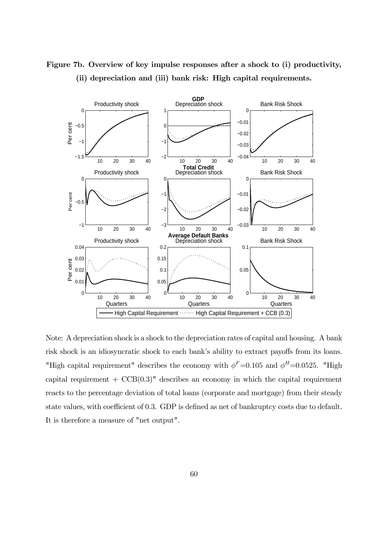

Figure 7b. Overview of key impulse responses after a shock to (i) productivity, (ii) depreciation and (iii) bank risk: High capital requirements.

Note: A depreciation shock is a shock to the depreciation rates of capital and housing. A bank risk shock is an idiosyncratic shock to each bank's ability to extract payoffs from its loans. "High capital requirement" describes the economy with  $\phi^F=0.105$  and  $\phi^H=0.0525$ . "High capital requirement  $+ \text{CCB}(0.3)$ " describes an economy in which the capital requirement reacts to the percentage deviation of total loans (corporate and mortgage) from their steady state values, with coefficient of 0.3. GDP is defined as net of bankruptcy costs due to default. It is therefore a measure of "net output".